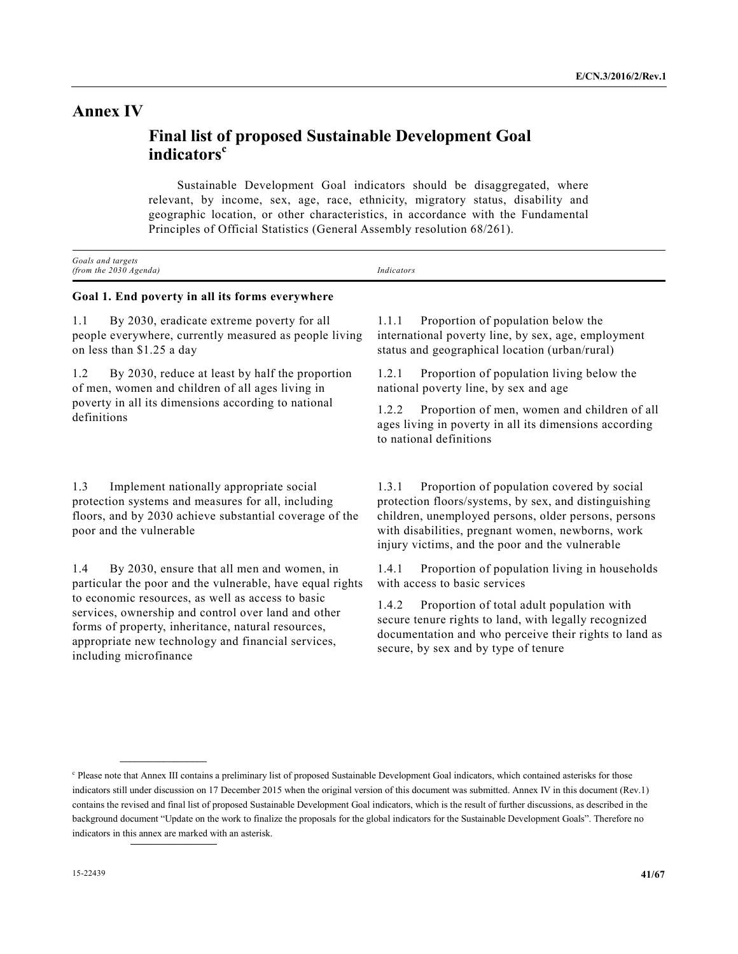# **Annex IV**

# **Final list of proposed Sustainable Development Goal indicators<sup>c</sup>**

 Sustainable Development Goal indicators should be disaggregated, where relevant, by income, sex, age, race, ethnicity, migratory status, disability and geographic location, or other characteristics, in accordance with the Fundamental Principles of Official Statistics (General Assembly resolution 68/261).

| Goals and targets<br>(from the $2030$ Agenda)                                                                                                                                              | <b>Indicators</b>                                                                                                                                                                                                                                                            |  |  |
|--------------------------------------------------------------------------------------------------------------------------------------------------------------------------------------------|------------------------------------------------------------------------------------------------------------------------------------------------------------------------------------------------------------------------------------------------------------------------------|--|--|
| Goal 1. End poverty in all its forms everywhere                                                                                                                                            |                                                                                                                                                                                                                                                                              |  |  |
| By 2030, eradicate extreme poverty for all<br>1.1<br>people everywhere, currently measured as people living<br>on less than \$1.25 a day                                                   | Proportion of population below the<br>1.1.1<br>international poverty line, by sex, age, employment<br>status and geographical location (urban/rural)                                                                                                                         |  |  |
| 1.2<br>By 2030, reduce at least by half the proportion<br>of men, women and children of all ages living in<br>poverty in all its dimensions according to national<br>definitions           | Proportion of population living below the<br>1.2.1<br>national poverty line, by sex and age<br>Proportion of men, women and children of all<br>1.2.2<br>ages living in poverty in all its dimensions according<br>to national definitions                                    |  |  |
| Implement nationally appropriate social<br>1.3<br>protection systems and measures for all, including<br>floors, and by 2030 achieve substantial coverage of the<br>poor and the vulnerable | Proportion of population covered by social<br>1.3.1<br>protection floors/systems, by sex, and distinguishing<br>children, unemployed persons, older persons, persons<br>with disabilities, pregnant women, newborns, work<br>injury victims, and the poor and the vulnerable |  |  |

1.4 By 2030, ensure that all men and women, in particular the poor and the vulnerable, have equal rights to economic resources, as well as access to basic services, ownership and control over land and other forms of property, inheritance, natural resources, appropriate new technology and financial services, including microfinance

**\_\_\_\_\_\_\_\_\_\_\_\_\_\_\_\_\_\_** 

1.4.1 Proportion of population living in households with access to basic services 1.4.2 Proportion of total adult population with

secure tenure rights to land, with legally recognized documentation and who perceive their rights to land as secure, by sex and by type of tenure

<sup>&</sup>lt;sup>c</sup> Please note that Annex III contains a preliminary list of proposed Sustainable Development Goal indicators, which contained asterisks for those indicators still under discussion on 17 December 2015 when the original version of this document was submitted. Annex IV in this document (Rev.1) contains the revised and final list of proposed Sustainable Development Goal indicators, which is the result of further discussions, as described in the background document "Update on the work to finalize the proposals for the global indicators for the Sustainable Development Goals". Therefore no indicators in this annex are marked with an asterisk.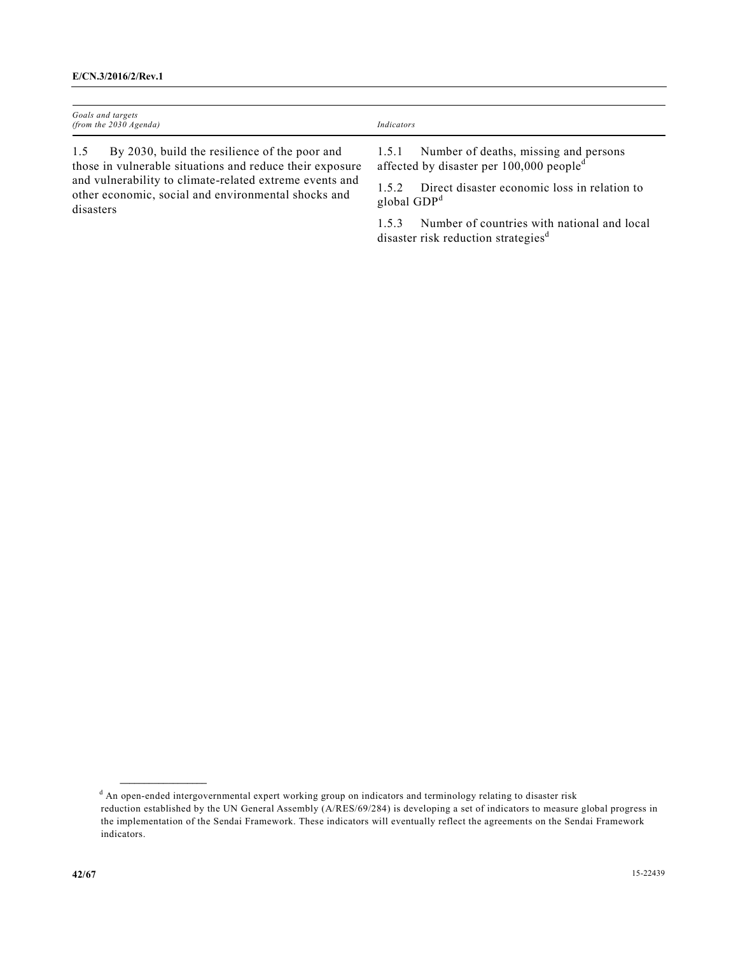| Goals and targets<br>(from the $2030$ Agenda)                                                                                                                                                                                                   | Indicators                                                                                                                                                                  |
|-------------------------------------------------------------------------------------------------------------------------------------------------------------------------------------------------------------------------------------------------|-----------------------------------------------------------------------------------------------------------------------------------------------------------------------------|
| By 2030, build the resilience of the poor and<br>1.5<br>those in vulnerable situations and reduce their exposure<br>and vulnerability to climate-related extreme events and<br>other economic, social and environmental shocks and<br>disasters | 1.5.1 Number of deaths, missing and persons<br>affected by disaster per 100,000 people <sup>d</sup><br>Direct disaster economic loss in relation to<br>152<br>global $GDPd$ |

1.5.3 Number of countries with national and local disaster risk reduction strategies<sup>d</sup>

**\_\_\_\_\_\_\_\_\_\_\_\_\_\_\_\_\_\_** 

<sup>d</sup> An open-ended intergovernmental expert working group on indicators and terminology relating to disaster risk reduction established by the UN General Assembly (A/RES/69/284) is developing a set of indicators to measure global progress in the implementation of the Sendai Framework. These indicators will eventually reflect the agreements on the Sendai Framework indicators.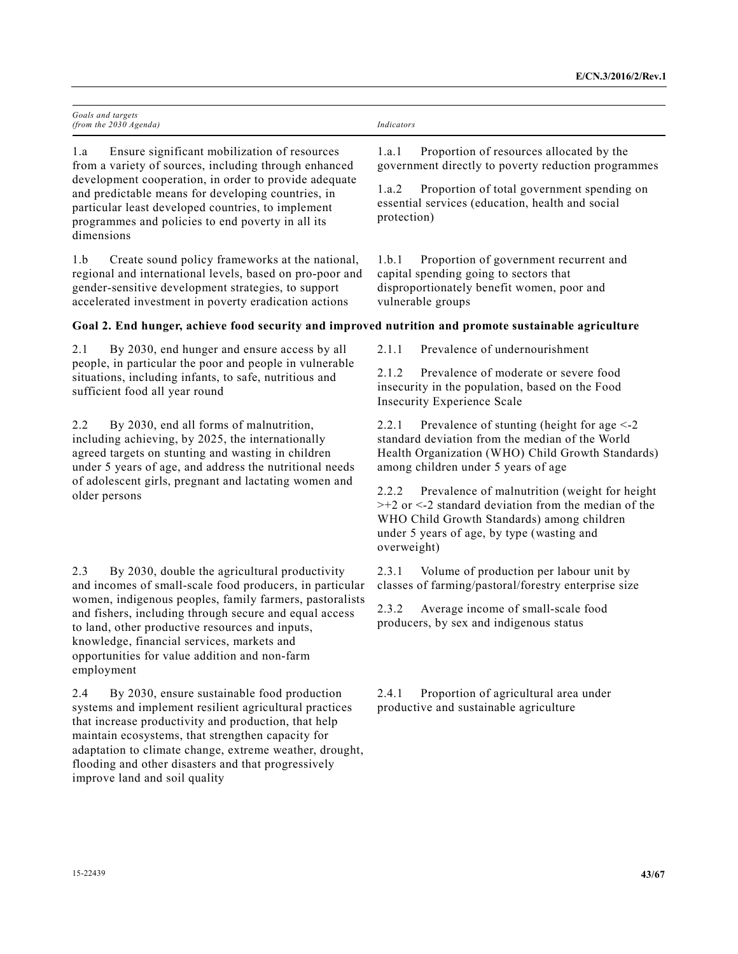| Goals and targets<br>(from the 2030 Agenda)                                                                                                                                                                                                                                                                                                                                                           | Indicators                                                                                                                                                                                                                      |  |
|-------------------------------------------------------------------------------------------------------------------------------------------------------------------------------------------------------------------------------------------------------------------------------------------------------------------------------------------------------------------------------------------------------|---------------------------------------------------------------------------------------------------------------------------------------------------------------------------------------------------------------------------------|--|
| Ensure significant mobilization of resources<br>1.a<br>from a variety of sources, including through enhanced                                                                                                                                                                                                                                                                                          | Proportion of resources allocated by the<br>1.a.1<br>government directly to poverty reduction programmes                                                                                                                        |  |
| development cooperation, in order to provide adequate<br>and predictable means for developing countries, in<br>particular least developed countries, to implement<br>programmes and policies to end poverty in all its<br>dimensions                                                                                                                                                                  | Proportion of total government spending on<br>1.a.2<br>essential services (education, health and social<br>protection)                                                                                                          |  |
| Create sound policy frameworks at the national,<br>1.b<br>regional and international levels, based on pro-poor and<br>gender-sensitive development strategies, to support<br>accelerated investment in poverty eradication actions                                                                                                                                                                    | Proportion of government recurrent and<br>1.b.1<br>capital spending going to sectors that<br>disproportionately benefit women, poor and<br>vulnerable groups                                                                    |  |
| Goal 2. End hunger, achieve food security and improved nutrition and promote sustainable agriculture                                                                                                                                                                                                                                                                                                  |                                                                                                                                                                                                                                 |  |
| By 2030, end hunger and ensure access by all<br>2.1                                                                                                                                                                                                                                                                                                                                                   | Prevalence of undernourishment<br>2.1.1                                                                                                                                                                                         |  |
| people, in particular the poor and people in vulnerable<br>situations, including infants, to safe, nutritious and<br>sufficient food all year round                                                                                                                                                                                                                                                   | Prevalence of moderate or severe food<br>2.1.2<br>insecurity in the population, based on the Food<br><b>Insecurity Experience Scale</b>                                                                                         |  |
| 2.2<br>By 2030, end all forms of malnutrition,<br>including achieving, by 2025, the internationally<br>agreed targets on stunting and wasting in children<br>under 5 years of age, and address the nutritional needs<br>of adolescent girls, pregnant and lactating women and<br>older persons                                                                                                        | Prevalence of stunting (height for age $\leq$ -2<br>2.2.1<br>standard deviation from the median of the World<br>Health Organization (WHO) Child Growth Standards)<br>among children under 5 years of age                        |  |
|                                                                                                                                                                                                                                                                                                                                                                                                       | Prevalence of malnutrition (weight for height<br>2.2.2<br>$\geq$ +2 or <-2 standard deviation from the median of the<br>WHO Child Growth Standards) among children<br>under 5 years of age, by type (wasting and<br>overweight) |  |
| 2.3<br>By 2030, double the agricultural productivity<br>and incomes of small-scale food producers, in particular<br>women, indigenous peoples, family farmers, pastoralists<br>and fishers, including through secure and equal access<br>to land, other productive resources and inputs,<br>knowledge, financial services, markets and<br>opportunities for value addition and non-farm<br>employment | 2.3.1<br>Volume of production per labour unit by<br>classes of farming/pastoral/forestry enterprise size                                                                                                                        |  |
|                                                                                                                                                                                                                                                                                                                                                                                                       | 2.3.2<br>Average income of small-scale food<br>producers, by sex and indigenous status                                                                                                                                          |  |
| 2.4<br>By 2030, ensure sustainable food production<br>systems and implement resilient agricultural practices<br>that increase productivity and production, that help<br>maintain ecosystems, that strengthen capacity for                                                                                                                                                                             | 2.4.1<br>Proportion of agricultural area under<br>productive and sustainable agriculture                                                                                                                                        |  |

adaptation to climate change, extreme weather, drought, flooding and other disasters and that progressively

improve land and soil quality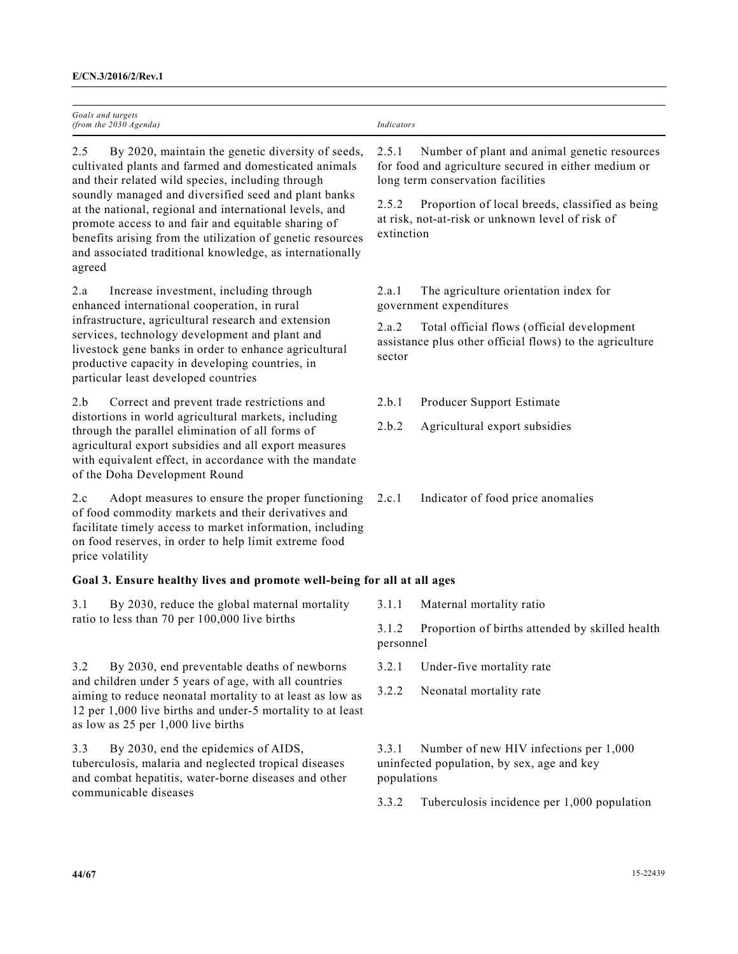| Goals and targets<br>(from the 2030 Agenda)                                                                                                                                                                                                                                                                                                                | Indicators                                                                                                                                         |                                                                                                                            |  |
|------------------------------------------------------------------------------------------------------------------------------------------------------------------------------------------------------------------------------------------------------------------------------------------------------------------------------------------------------------|----------------------------------------------------------------------------------------------------------------------------------------------------|----------------------------------------------------------------------------------------------------------------------------|--|
| 2.5<br>By 2020, maintain the genetic diversity of seeds,<br>cultivated plants and farmed and domesticated animals<br>and their related wild species, including through                                                                                                                                                                                     | 2.5.1<br>Number of plant and animal genetic resources<br>for food and agriculture secured in either medium or<br>long term conservation facilities |                                                                                                                            |  |
| soundly managed and diversified seed and plant banks<br>at the national, regional and international levels, and<br>promote access to and fair and equitable sharing of<br>benefits arising from the utilization of genetic resources<br>and associated traditional knowledge, as internationally<br>agreed                                                 |                                                                                                                                                    | 2.5.2<br>Proportion of local breeds, classified as being<br>at risk, not-at-risk or unknown level of risk of<br>extinction |  |
| Increase investment, including through<br>2.a<br>enhanced international cooperation, in rural<br>infrastructure, agricultural research and extension<br>services, technology development and plant and<br>livestock gene banks in order to enhance agricultural<br>productive capacity in developing countries, in<br>particular least developed countries | 2.a.1                                                                                                                                              | The agriculture orientation index for<br>government expenditures                                                           |  |
|                                                                                                                                                                                                                                                                                                                                                            | 2.a.2<br>sector                                                                                                                                    | Total official flows (official development<br>assistance plus other official flows) to the agriculture                     |  |
| Correct and prevent trade restrictions and<br>2.b                                                                                                                                                                                                                                                                                                          | 2.b.1                                                                                                                                              | Producer Support Estimate                                                                                                  |  |
| distortions in world agricultural markets, including<br>through the parallel elimination of all forms of<br>agricultural export subsidies and all export measures<br>with equivalent effect, in accordance with the mandate<br>of the Doha Development Round                                                                                               | 2.b.2                                                                                                                                              | Agricultural export subsidies                                                                                              |  |
| 2.c<br>Adopt measures to ensure the proper functioning<br>of food commodity markets and their derivatives and<br>facilitate timely access to market information, including<br>on food reserves, in order to help limit extreme food<br>price volatility                                                                                                    | 2.c.1                                                                                                                                              | Indicator of food price anomalies                                                                                          |  |
| Goal 3. Ensure healthy lives and promote well-being for all at all ages                                                                                                                                                                                                                                                                                    |                                                                                                                                                    |                                                                                                                            |  |
| By 2030, reduce the global maternal mortality<br>3.1                                                                                                                                                                                                                                                                                                       | 3.1.1                                                                                                                                              | Maternal mortality ratio                                                                                                   |  |
| ratio to less than 70 per 100,000 live births                                                                                                                                                                                                                                                                                                              | 3.1.2<br>personnel                                                                                                                                 | Proportion of births attended by skilled health                                                                            |  |
| By 2030, end preventable deaths of newborns<br>3.2                                                                                                                                                                                                                                                                                                         | 3.2.1                                                                                                                                              | Under-five mortality rate                                                                                                  |  |
| and children under 5 years of age, with all countries<br>aiming to reduce neonatal mortality to at least as low as<br>12 per 1,000 live births and under-5 mortality to at least<br>as low as 25 per 1,000 live births                                                                                                                                     | 3.2.2                                                                                                                                              | Neonatal mortality rate                                                                                                    |  |
| By 2030, end the epidemics of AIDS,<br>3.3<br>tuberculosis, malaria and neglected tropical diseases<br>and combat hepatitis, water-borne diseases and other<br>communicable diseases                                                                                                                                                                       | Number of new HIV infections per 1,000<br>3.3.1<br>uninfected population, by sex, age and key<br>populations                                       |                                                                                                                            |  |
|                                                                                                                                                                                                                                                                                                                                                            | 3.3.2                                                                                                                                              | Tuberculosis incidence per 1,000 population                                                                                |  |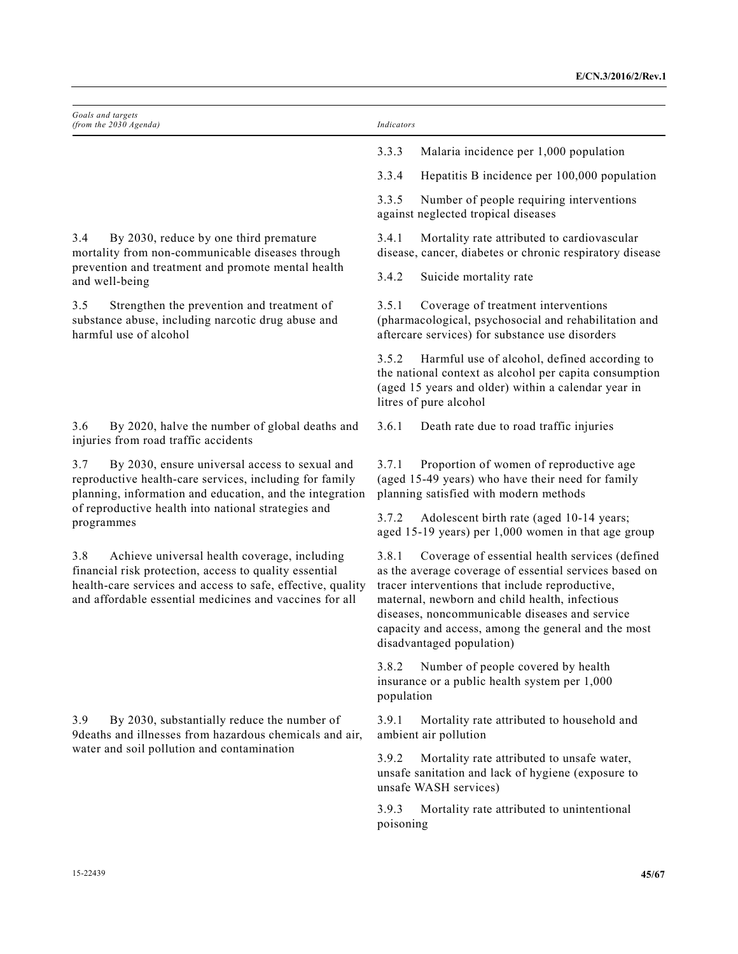| Goals and targets<br>(from the 2030 Agenda)                                                                                                                                                                                                                                                                                                                                                                                                                                                  | Indicators                                                                                                                                                                                                                                                                                                                                                   |
|----------------------------------------------------------------------------------------------------------------------------------------------------------------------------------------------------------------------------------------------------------------------------------------------------------------------------------------------------------------------------------------------------------------------------------------------------------------------------------------------|--------------------------------------------------------------------------------------------------------------------------------------------------------------------------------------------------------------------------------------------------------------------------------------------------------------------------------------------------------------|
|                                                                                                                                                                                                                                                                                                                                                                                                                                                                                              | 3.3.3<br>Malaria incidence per 1,000 population                                                                                                                                                                                                                                                                                                              |
|                                                                                                                                                                                                                                                                                                                                                                                                                                                                                              | 3.3.4<br>Hepatitis B incidence per 100,000 population                                                                                                                                                                                                                                                                                                        |
|                                                                                                                                                                                                                                                                                                                                                                                                                                                                                              | 3.3.5<br>Number of people requiring interventions<br>against neglected tropical diseases                                                                                                                                                                                                                                                                     |
| 3.4<br>By 2030, reduce by one third premature<br>mortality from non-communicable diseases through<br>prevention and treatment and promote mental health<br>and well-being                                                                                                                                                                                                                                                                                                                    | Mortality rate attributed to cardiovascular<br>3.4.1<br>disease, cancer, diabetes or chronic respiratory disease                                                                                                                                                                                                                                             |
|                                                                                                                                                                                                                                                                                                                                                                                                                                                                                              | 3.4.2<br>Suicide mortality rate                                                                                                                                                                                                                                                                                                                              |
| 3.5<br>Strengthen the prevention and treatment of<br>substance abuse, including narcotic drug abuse and<br>harmful use of alcohol                                                                                                                                                                                                                                                                                                                                                            | 3.5.1<br>Coverage of treatment interventions<br>(pharmacological, psychosocial and rehabilitation and<br>aftercare services) for substance use disorders                                                                                                                                                                                                     |
|                                                                                                                                                                                                                                                                                                                                                                                                                                                                                              | Harmful use of alcohol, defined according to<br>3.5.2<br>the national context as alcohol per capita consumption<br>(aged 15 years and older) within a calendar year in<br>litres of pure alcohol                                                                                                                                                             |
| 3.6<br>By 2020, halve the number of global deaths and<br>injuries from road traffic accidents                                                                                                                                                                                                                                                                                                                                                                                                | 3.6.1<br>Death rate due to road traffic injuries                                                                                                                                                                                                                                                                                                             |
| 3.7<br>By 2030, ensure universal access to sexual and<br>reproductive health-care services, including for family<br>planning, information and education, and the integration<br>of reproductive health into national strategies and<br>programmes<br>3.8<br>Achieve universal health coverage, including<br>financial risk protection, access to quality essential<br>health-care services and access to safe, effective, quality<br>and affordable essential medicines and vaccines for all | 3.7.1<br>Proportion of women of reproductive age<br>(aged 15-49 years) who have their need for family<br>planning satisfied with modern methods                                                                                                                                                                                                              |
|                                                                                                                                                                                                                                                                                                                                                                                                                                                                                              | 3.7.2<br>Adolescent birth rate (aged 10-14 years;<br>aged 15-19 years) per 1,000 women in that age group                                                                                                                                                                                                                                                     |
|                                                                                                                                                                                                                                                                                                                                                                                                                                                                                              | Coverage of essential health services (defined<br>3.8.1<br>as the average coverage of essential services based on<br>tracer interventions that include reproductive,<br>maternal, newborn and child health, infectious<br>diseases, noncommunicable diseases and service<br>capacity and access, among the general and the most<br>disadvantaged population) |
|                                                                                                                                                                                                                                                                                                                                                                                                                                                                                              | Number of people covered by health<br>3.8.2<br>insurance or a public health system per 1,000<br>population                                                                                                                                                                                                                                                   |
| 3.9<br>By 2030, substantially reduce the number of<br>9deaths and illnesses from hazardous chemicals and air,<br>water and soil pollution and contamination                                                                                                                                                                                                                                                                                                                                  | 3.9.1<br>Mortality rate attributed to household and<br>ambient air pollution                                                                                                                                                                                                                                                                                 |
|                                                                                                                                                                                                                                                                                                                                                                                                                                                                                              | 3.9.2<br>Mortality rate attributed to unsafe water,<br>unsafe sanitation and lack of hygiene (exposure to<br>unsafe WASH services)                                                                                                                                                                                                                           |
|                                                                                                                                                                                                                                                                                                                                                                                                                                                                                              | 3.9.3<br>Mortality rate attributed to unintentional<br>poisoning                                                                                                                                                                                                                                                                                             |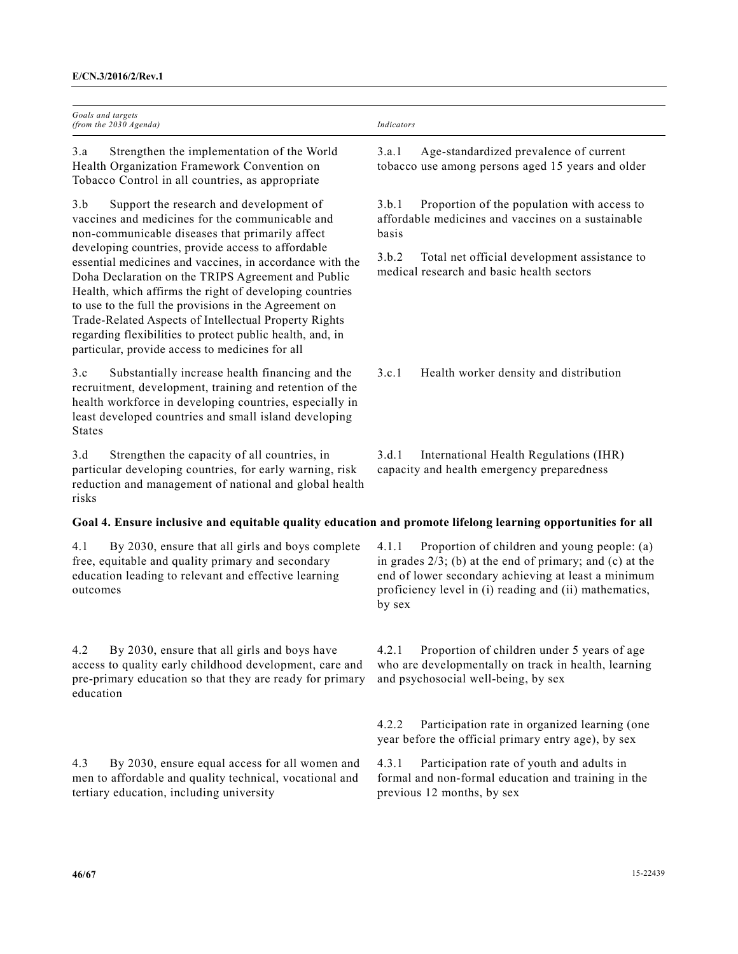| Goals and targets<br>(from the 2030 Agenda)                                                                                                                                                                                                                                                                                                                                                                                                                       | Indicators                                                                                                                                                                                                                                      |
|-------------------------------------------------------------------------------------------------------------------------------------------------------------------------------------------------------------------------------------------------------------------------------------------------------------------------------------------------------------------------------------------------------------------------------------------------------------------|-------------------------------------------------------------------------------------------------------------------------------------------------------------------------------------------------------------------------------------------------|
| 3.a<br>Strengthen the implementation of the World<br>Health Organization Framework Convention on<br>Tobacco Control in all countries, as appropriate                                                                                                                                                                                                                                                                                                              | Age-standardized prevalence of current<br>3.a.1<br>tobacco use among persons aged 15 years and older                                                                                                                                            |
| 3.b<br>Support the research and development of<br>vaccines and medicines for the communicable and<br>non-communicable diseases that primarily affect                                                                                                                                                                                                                                                                                                              | 3.b.1<br>Proportion of the population with access to<br>affordable medicines and vaccines on a sustainable<br>basis                                                                                                                             |
| developing countries, provide access to affordable<br>essential medicines and vaccines, in accordance with the<br>Doha Declaration on the TRIPS Agreement and Public<br>Health, which affirms the right of developing countries<br>to use to the full the provisions in the Agreement on<br>Trade-Related Aspects of Intellectual Property Rights<br>regarding flexibilities to protect public health, and, in<br>particular, provide access to medicines for all | 3.b.2<br>Total net official development assistance to<br>medical research and basic health sectors                                                                                                                                              |
| Substantially increase health financing and the<br>3.c<br>recruitment, development, training and retention of the<br>health workforce in developing countries, especially in<br>least developed countries and small island developing<br><b>States</b>                                                                                                                                                                                                            | 3.c.1<br>Health worker density and distribution                                                                                                                                                                                                 |
| Strengthen the capacity of all countries, in<br>3.d<br>particular developing countries, for early warning, risk<br>reduction and management of national and global health<br>risks                                                                                                                                                                                                                                                                                | International Health Regulations (IHR)<br>3.d.1<br>capacity and health emergency preparedness                                                                                                                                                   |
| Goal 4. Ensure inclusive and equitable quality education and promote lifelong learning opportunities for all                                                                                                                                                                                                                                                                                                                                                      |                                                                                                                                                                                                                                                 |
| By 2030, ensure that all girls and boys complete<br>4.1<br>free, equitable and quality primary and secondary<br>education leading to relevant and effective learning<br>outcomes                                                                                                                                                                                                                                                                                  | Proportion of children and young people: (a)<br>4.1.1<br>in grades $2/3$ ; (b) at the end of primary; and (c) at the<br>end of lower secondary achieving at least a minimum<br>proficiency level in (i) reading and (ii) mathematics,<br>by sex |
| 4.2<br>By 2030, ensure that all girls and boys have<br>access to quality early childhood development, care and<br>pre-primary education so that they are ready for primary<br>education                                                                                                                                                                                                                                                                           | Proportion of children under 5 years of age<br>4.2.1<br>who are developmentally on track in health, learning<br>and psychosocial well-being, by sex                                                                                             |
|                                                                                                                                                                                                                                                                                                                                                                                                                                                                   | Participation rate in organized learning (one<br>4.2.2<br>year before the official primary entry age), by sex                                                                                                                                   |
| 4.3<br>By 2030, ensure equal access for all women and<br>men to affordable and quality technical, vocational and<br>tertiary education, including university                                                                                                                                                                                                                                                                                                      | 4.3.1<br>Participation rate of youth and adults in<br>formal and non-formal education and training in the<br>previous 12 months, by sex                                                                                                         |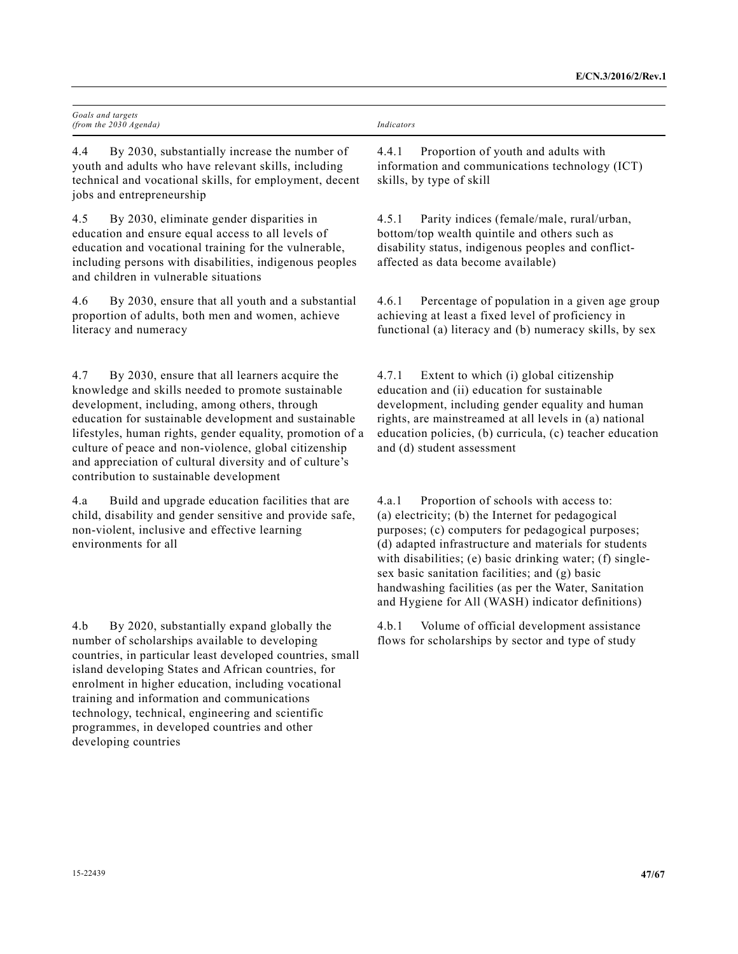| Goals and targets<br>(from the 2030 Agenda) | Indicators |
|---------------------------------------------|------------|
|                                             |            |

4.4 By 2030, substantially increase the number of youth and adults who have relevant skills, including technical and vocational skills, for employment, decent jobs and entrepreneurship

4.5 By 2030, eliminate gender disparities in education and ensure equal access to all levels of education and vocational training for the vulnerable, including persons with disabilities, indigenous peoples and children in vulnerable situations

4.6 By 2030, ensure that all youth and a substantial proportion of adults, both men and women, achieve literacy and numeracy

4.7 By 2030, ensure that all learners acquire the knowledge and skills needed to promote sustainable development, including, among others, through education for sustainable development and sustainable lifestyles, human rights, gender equality, promotion of a culture of peace and non-violence, global citizenship and appreciation of cultural diversity and of culture's contribution to sustainable development

4.a Build and upgrade education facilities that are child, disability and gender sensitive and provide safe, non-violent, inclusive and effective learning environments for all

4.b By 2020, substantially expand globally the number of scholarships available to developing countries, in particular least developed countries, small island developing States and African countries, for enrolment in higher education, including vocational training and information and communications technology, technical, engineering and scientific programmes, in developed countries and other developing countries

## 4.5.1 Parity indices (female/male, rural/urban, bottom/top wealth quintile and others such as disability status, indigenous peoples and conflictaffected as data become available)

4.4.1 Proportion of youth and adults with information and communications technology (ICT)

skills, by type of skill

4.6.1 Percentage of population in a given age group achieving at least a fixed level of proficiency in functional (a) literacy and (b) numeracy skills, by sex

4.7.1 Extent to which (i) global citizenship education and (ii) education for sustainable development, including gender equality and human rights, are mainstreamed at all levels in (a) national education policies, (b) curricula, (c) teacher education and (d) student assessment

4.a.1 Proportion of schools with access to: (a) electricity; (b) the Internet for pedagogical purposes; (c) computers for pedagogical purposes; (d) adapted infrastructure and materials for students with disabilities; (e) basic drinking water; (f) singlesex basic sanitation facilities; and (g) basic handwashing facilities (as per the Water, Sanitation and Hygiene for All (WASH) indicator definitions)

4.b.1 Volume of official development assistance flows for scholarships by sector and type of study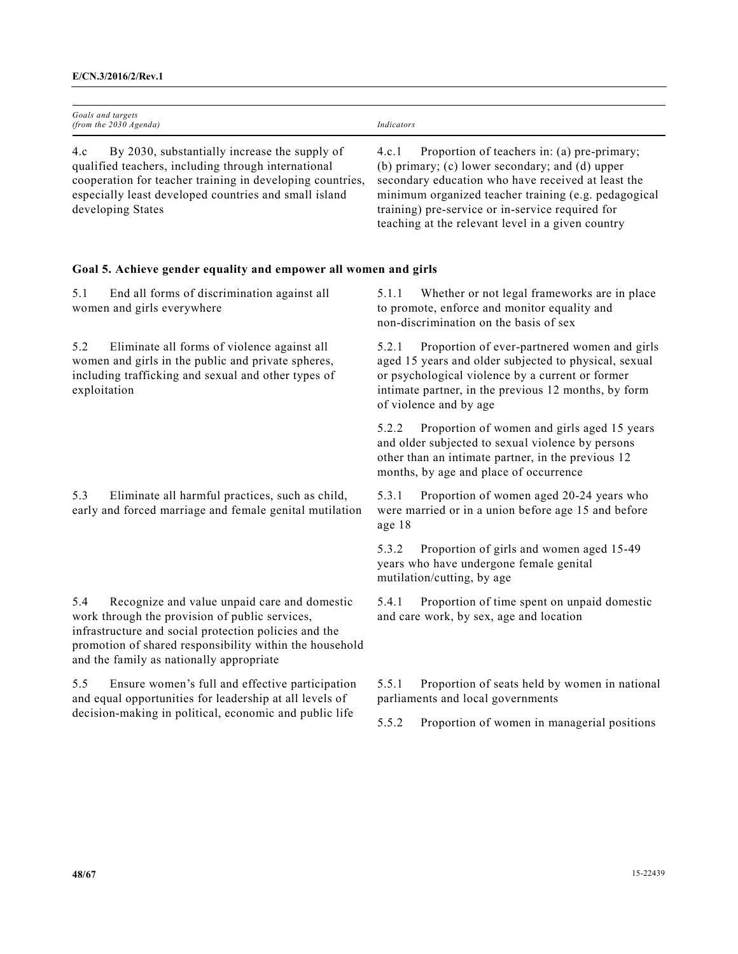| Goals and targets<br>(from the 2030 Agenda)                                                                                                                                                                                                                           | Indicators                                                                                                                                                                                                                                                                                                                     |
|-----------------------------------------------------------------------------------------------------------------------------------------------------------------------------------------------------------------------------------------------------------------------|--------------------------------------------------------------------------------------------------------------------------------------------------------------------------------------------------------------------------------------------------------------------------------------------------------------------------------|
| By 2030, substantially increase the supply of<br>4.c<br>qualified teachers, including through international<br>cooperation for teacher training in developing countries,<br>especially least developed countries and small island<br>developing States                | Proportion of teachers in: (a) pre-primary;<br>4.c.1<br>(b) primary; (c) lower secondary; and (d) upper<br>secondary education who have received at least the<br>minimum organized teacher training (e.g. pedagogical<br>training) pre-service or in-service required for<br>teaching at the relevant level in a given country |
| Goal 5. Achieve gender equality and empower all women and girls                                                                                                                                                                                                       |                                                                                                                                                                                                                                                                                                                                |
| End all forms of discrimination against all<br>5.1<br>women and girls everywhere                                                                                                                                                                                      | 5.1.1<br>Whether or not legal frameworks are in place<br>to promote, enforce and monitor equality and<br>non-discrimination on the basis of sex                                                                                                                                                                                |
| Eliminate all forms of violence against all<br>5.2<br>women and girls in the public and private spheres,<br>including trafficking and sexual and other types of<br>exploitation                                                                                       | Proportion of ever-partnered women and girls<br>5.2.1<br>aged 15 years and older subjected to physical, sexual<br>or psychological violence by a current or former<br>intimate partner, in the previous 12 months, by form<br>of violence and by age                                                                           |
|                                                                                                                                                                                                                                                                       | 5.2.2<br>Proportion of women and girls aged 15 years<br>and older subjected to sexual violence by persons<br>other than an intimate partner, in the previous 12<br>months, by age and place of occurrence                                                                                                                      |
| Eliminate all harmful practices, such as child,<br>5.3<br>early and forced marriage and female genital mutilation                                                                                                                                                     | Proportion of women aged 20-24 years who<br>5.3.1<br>were married or in a union before age 15 and before<br>age 18                                                                                                                                                                                                             |
|                                                                                                                                                                                                                                                                       | Proportion of girls and women aged 15-49<br>5.3.2<br>years who have undergone female genital<br>mutilation/cutting, by age                                                                                                                                                                                                     |
| Recognize and value unpaid care and domestic<br>5.4<br>work through the provision of public services,<br>infrastructure and social protection policies and the<br>promotion of shared responsibility within the household<br>and the family as nationally appropriate | Proportion of time spent on unpaid domestic<br>5.4.1<br>and care work, by sex, age and location                                                                                                                                                                                                                                |
| Ensure women's full and effective participation<br>5.5<br>and equal opportunities for leadership at all levels of<br>decision-making in political, economic and public life                                                                                           | Proportion of seats held by women in national<br>5.5.1<br>parliaments and local governments                                                                                                                                                                                                                                    |
|                                                                                                                                                                                                                                                                       | Proportion of women in managerial positions<br>5.5.2                                                                                                                                                                                                                                                                           |
|                                                                                                                                                                                                                                                                       |                                                                                                                                                                                                                                                                                                                                |
|                                                                                                                                                                                                                                                                       |                                                                                                                                                                                                                                                                                                                                |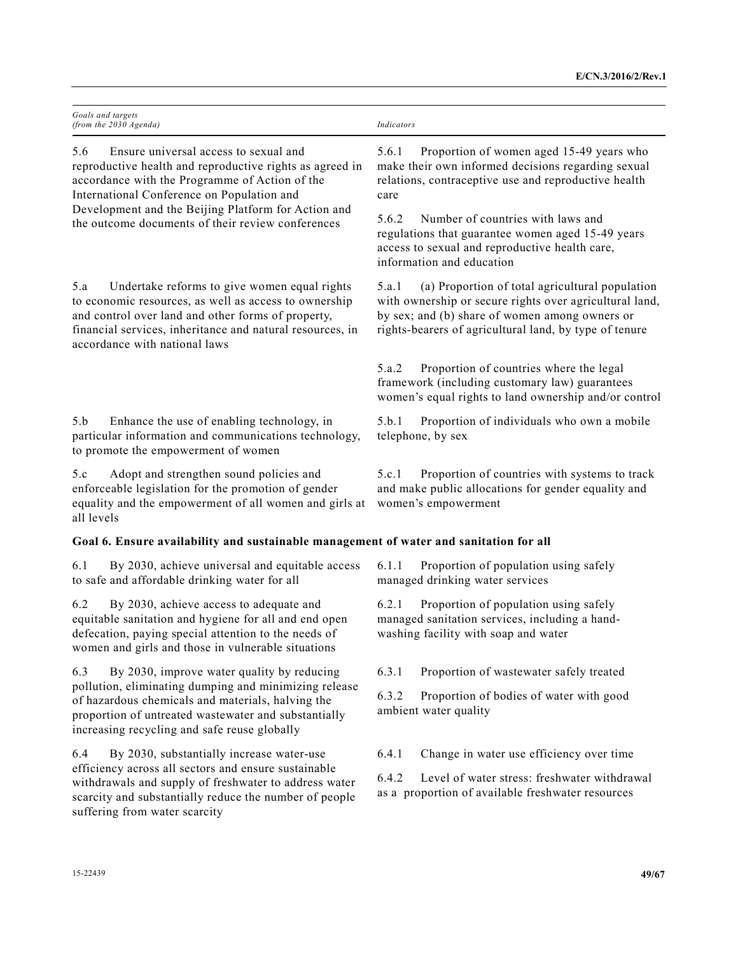|                                                                                                                                                                                                                                                                                                                      | Goals and targets<br>(from the 2030 Agenda)                                                                                                                                                                                                               | Indicators                                                                                                                                                              |                                                                                                                                                                                                                        |
|----------------------------------------------------------------------------------------------------------------------------------------------------------------------------------------------------------------------------------------------------------------------------------------------------------------------|-----------------------------------------------------------------------------------------------------------------------------------------------------------------------------------------------------------------------------------------------------------|-------------------------------------------------------------------------------------------------------------------------------------------------------------------------|------------------------------------------------------------------------------------------------------------------------------------------------------------------------------------------------------------------------|
| 5.6<br>Ensure universal access to sexual and<br>reproductive health and reproductive rights as agreed in<br>accordance with the Programme of Action of the<br>International Conference on Population and<br>Development and the Beijing Platform for Action and<br>the outcome documents of their review conferences |                                                                                                                                                                                                                                                           | Proportion of women aged 15-49 years who<br>5.6.1<br>make their own informed decisions regarding sexual<br>relations, contraceptive use and reproductive health<br>care |                                                                                                                                                                                                                        |
|                                                                                                                                                                                                                                                                                                                      |                                                                                                                                                                                                                                                           | 5.6.2                                                                                                                                                                   | Number of countries with laws and<br>regulations that guarantee women aged 15-49 years<br>access to sexual and reproductive health care,<br>information and education                                                  |
| 5.a                                                                                                                                                                                                                                                                                                                  | Undertake reforms to give women equal rights<br>to economic resources, as well as access to ownership<br>and control over land and other forms of property,<br>financial services, inheritance and natural resources, in<br>accordance with national laws | 5.a.1                                                                                                                                                                   | (a) Proportion of total agricultural population<br>with ownership or secure rights over agricultural land,<br>by sex; and (b) share of women among owners or<br>rights-bearers of agricultural land, by type of tenure |
|                                                                                                                                                                                                                                                                                                                      |                                                                                                                                                                                                                                                           | 5.a.2                                                                                                                                                                   | Proportion of countries where the legal<br>framework (including customary law) guarantees<br>women's equal rights to land ownership and/or control                                                                     |
| 5.b                                                                                                                                                                                                                                                                                                                  | Enhance the use of enabling technology, in<br>particular information and communications technology,<br>to promote the empowerment of women                                                                                                                | 5.b.1                                                                                                                                                                   | Proportion of individuals who own a mobile<br>telephone, by sex                                                                                                                                                        |
| 5.c<br>all levels                                                                                                                                                                                                                                                                                                    | Adopt and strengthen sound policies and<br>enforceable legislation for the promotion of gender<br>equality and the empowerment of all women and girls at                                                                                                  | 5.c.1                                                                                                                                                                   | Proportion of countries with systems to track<br>and make public allocations for gender equality and<br>women's empowerment                                                                                            |
|                                                                                                                                                                                                                                                                                                                      | Goal 6. Ensure availability and sustainable management of water and sanitation for all                                                                                                                                                                    |                                                                                                                                                                         |                                                                                                                                                                                                                        |
| 6.1                                                                                                                                                                                                                                                                                                                  | By 2030, achieve universal and equitable access<br>to safe and affordable drinking water for all                                                                                                                                                          | 6.1.1                                                                                                                                                                   | Proportion of population using safely<br>managed drinking water services                                                                                                                                               |
| 6.2                                                                                                                                                                                                                                                                                                                  | By 2030, achieve access to adequate and<br>equitable sanitation and hygiene for all and end open<br>defecation, paying special attention to the needs of<br>women and girls and those in vulnerable situations                                            | 6.2.1                                                                                                                                                                   | Proportion of population using safely<br>managed sanitation services, including a hand-<br>washing facility with soap and water                                                                                        |
| 6.3                                                                                                                                                                                                                                                                                                                  | By 2030, improve water quality by reducing                                                                                                                                                                                                                | 6.3.1                                                                                                                                                                   | Proportion of wastewater safely treated                                                                                                                                                                                |
|                                                                                                                                                                                                                                                                                                                      | pollution, eliminating dumping and minimizing release<br>of hazardous chemicals and materials, halving the<br>proportion of untreated wastewater and substantially<br>increasing recycling and safe reuse globally                                        | 6.3.2                                                                                                                                                                   | Proportion of bodies of water with good<br>ambient water quality                                                                                                                                                       |
| 6.4                                                                                                                                                                                                                                                                                                                  | By 2030, substantially increase water-use                                                                                                                                                                                                                 | 6.4.1                                                                                                                                                                   | Change in water use efficiency over time                                                                                                                                                                               |
|                                                                                                                                                                                                                                                                                                                      | efficiency across all sectors and ensure sustainable<br>withdrawals and supply of freshwater to address water<br>scarcity and substantially reduce the number of people<br>suffering from water scarcity                                                  | 6.4.2                                                                                                                                                                   | Level of water stress: freshwater withdrawal<br>as a proportion of available freshwater resources                                                                                                                      |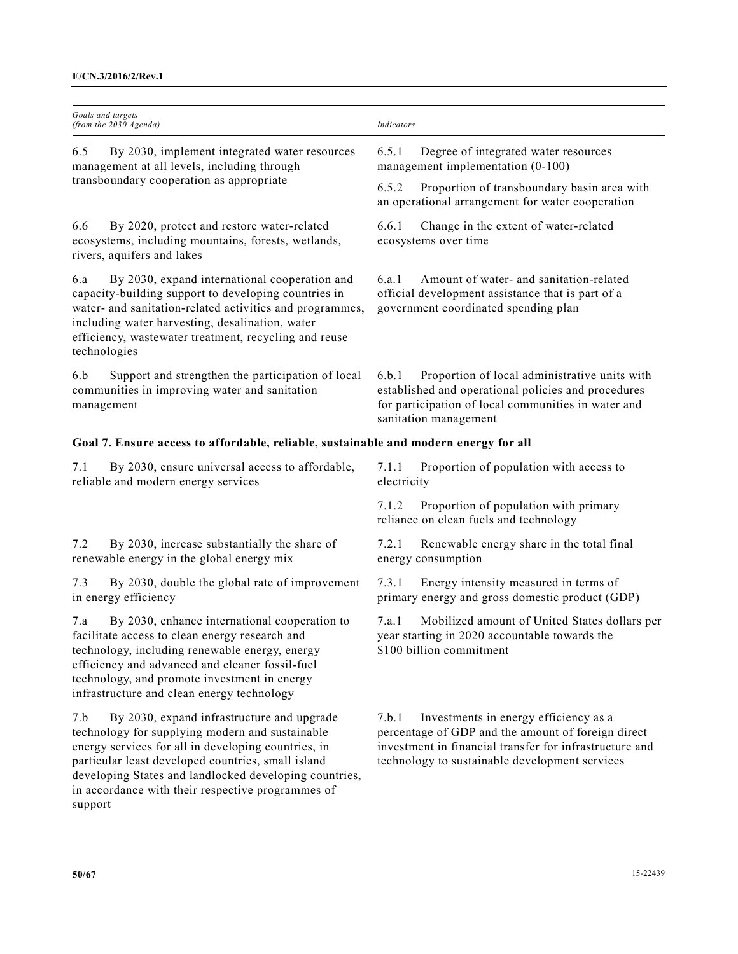| Goals and targets<br>(from the 2030 Agenda)                                                                                                                                                                                                                                                                                                 | Indicators                                                                                                                                                                                                        |
|---------------------------------------------------------------------------------------------------------------------------------------------------------------------------------------------------------------------------------------------------------------------------------------------------------------------------------------------|-------------------------------------------------------------------------------------------------------------------------------------------------------------------------------------------------------------------|
| 6.5<br>By 2030, implement integrated water resources<br>management at all levels, including through                                                                                                                                                                                                                                         | 6.5.1<br>Degree of integrated water resources<br>management implementation (0-100)                                                                                                                                |
| transboundary cooperation as appropriate                                                                                                                                                                                                                                                                                                    | 6.5.2<br>Proportion of transboundary basin area with<br>an operational arrangement for water cooperation                                                                                                          |
| By 2020, protect and restore water-related<br>6.6<br>ecosystems, including mountains, forests, wetlands,<br>rivers, aquifers and lakes                                                                                                                                                                                                      | Change in the extent of water-related<br>6.6.1<br>ecosystems over time                                                                                                                                            |
| By 2030, expand international cooperation and<br>6.a<br>capacity-building support to developing countries in<br>water- and sanitation-related activities and programmes,<br>including water harvesting, desalination, water<br>efficiency, wastewater treatment, recycling and reuse<br>technologies                                        | Amount of water- and sanitation-related<br>6.a.1<br>official development assistance that is part of a<br>government coordinated spending plan                                                                     |
| Support and strengthen the participation of local<br>6.b<br>communities in improving water and sanitation<br>management                                                                                                                                                                                                                     | Proportion of local administrative units with<br>6.b.1<br>established and operational policies and procedures<br>for participation of local communities in water and<br>sanitation management                     |
| Goal 7. Ensure access to affordable, reliable, sustainable and modern energy for all                                                                                                                                                                                                                                                        |                                                                                                                                                                                                                   |
| By 2030, ensure universal access to affordable,<br>7.1<br>reliable and modern energy services                                                                                                                                                                                                                                               | Proportion of population with access to<br>7.1.1<br>electricity                                                                                                                                                   |
|                                                                                                                                                                                                                                                                                                                                             | 7.1.2<br>Proportion of population with primary<br>reliance on clean fuels and technology                                                                                                                          |
| By 2030, increase substantially the share of<br>7.2<br>renewable energy in the global energy mix                                                                                                                                                                                                                                            | 7.2.1<br>Renewable energy share in the total final<br>energy consumption                                                                                                                                          |
| By 2030, double the global rate of improvement<br>7.3<br>in energy efficiency                                                                                                                                                                                                                                                               | Energy intensity measured in terms of<br>7.3.1<br>primary energy and gross domestic product (GDP)                                                                                                                 |
| By 2030, enhance international cooperation to<br>7.a<br>facilitate access to clean energy research and<br>technology, including renewable energy, energy<br>efficiency and advanced and cleaner fossil-fuel<br>technology, and promote investment in energy<br>infrastructure and clean energy technology                                   | 7.a.1<br>Mobilized amount of United States dollars per<br>year starting in 2020 accountable towards the<br>\$100 billion commitment                                                                               |
| By 2030, expand infrastructure and upgrade<br>7.b<br>technology for supplying modern and sustainable<br>energy services for all in developing countries, in<br>particular least developed countries, small island<br>developing States and landlocked developing countries,<br>in accordance with their respective programmes of<br>support | 7.b.1<br>Investments in energy efficiency as a<br>percentage of GDP and the amount of foreign direct<br>investment in financial transfer for infrastructure and<br>technology to sustainable development services |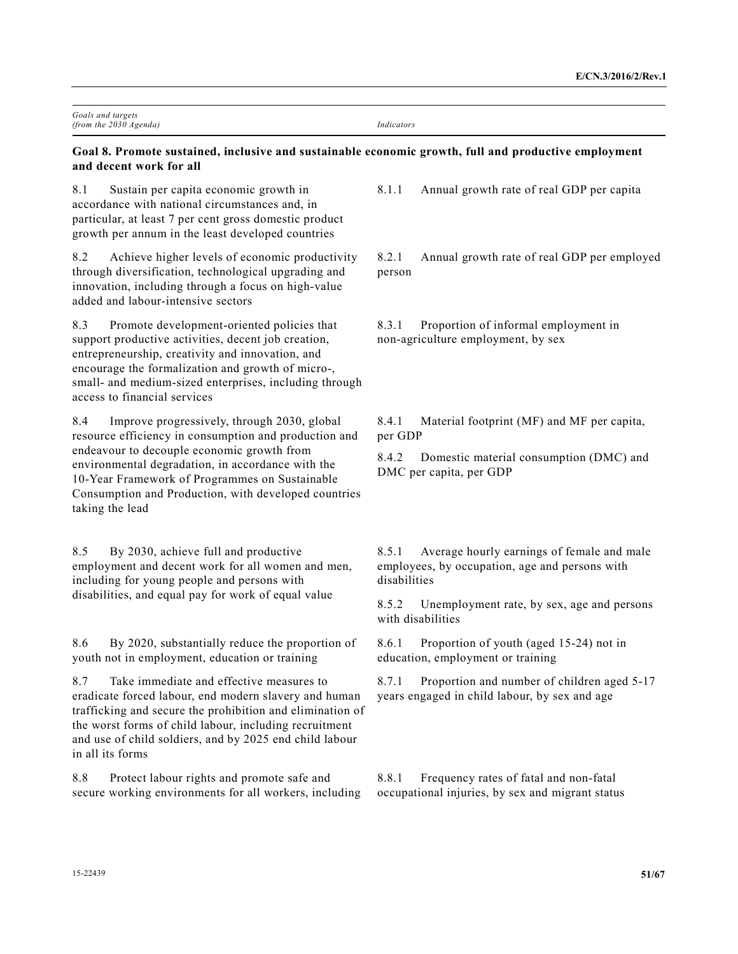| Goals and targets<br>(from the 2030 Agenda)                                                                                                                                                                                                                                                                                                 | <b>Indicators</b>                                                                                                     |
|---------------------------------------------------------------------------------------------------------------------------------------------------------------------------------------------------------------------------------------------------------------------------------------------------------------------------------------------|-----------------------------------------------------------------------------------------------------------------------|
| Goal 8. Promote sustained, inclusive and sustainable economic growth, full and productive employment<br>and decent work for all                                                                                                                                                                                                             |                                                                                                                       |
| 8.1<br>Sustain per capita economic growth in<br>accordance with national circumstances and, in<br>particular, at least 7 per cent gross domestic product<br>growth per annum in the least developed countries                                                                                                                               | 8.1.1<br>Annual growth rate of real GDP per capita                                                                    |
| 8.2<br>Achieve higher levels of economic productivity<br>through diversification, technological upgrading and<br>innovation, including through a focus on high-value<br>added and labour-intensive sectors                                                                                                                                  | 8.2.1<br>Annual growth rate of real GDP per employed<br>person                                                        |
| 8.3<br>Promote development-oriented policies that<br>support productive activities, decent job creation,<br>entrepreneurship, creativity and innovation, and<br>encourage the formalization and growth of micro-,<br>small- and medium-sized enterprises, including through<br>access to financial services                                 | 8.3.1<br>Proportion of informal employment in<br>non-agriculture employment, by sex                                   |
| 8.4<br>Improve progressively, through 2030, global<br>resource efficiency in consumption and production and<br>endeavour to decouple economic growth from<br>environmental degradation, in accordance with the<br>10-Year Framework of Programmes on Sustainable<br>Consumption and Production, with developed countries<br>taking the lead | Material footprint (MF) and MF per capita,<br>8.4.1<br>per GDP                                                        |
|                                                                                                                                                                                                                                                                                                                                             | Domestic material consumption (DMC) and<br>8.4.2<br>DMC per capita, per GDP                                           |
| 8.5<br>By 2030, achieve full and productive<br>employment and decent work for all women and men,<br>including for young people and persons with<br>disabilities, and equal pay for work of equal value                                                                                                                                      | Average hourly earnings of female and male<br>8.5.1<br>employees, by occupation, age and persons with<br>disabilities |
|                                                                                                                                                                                                                                                                                                                                             | 8.5.2<br>Unemployment rate, by sex, age and persons<br>with disabilities                                              |
| 8.6<br>By 2020, substantially reduce the proportion of<br>youth not in employment, education or training                                                                                                                                                                                                                                    | Proportion of youth (aged 15-24) not in<br>8.6.1<br>education, employment or training                                 |
| Take immediate and effective measures to<br>8.7<br>eradicate forced labour, end modern slavery and human<br>trafficking and secure the prohibition and elimination of<br>the worst forms of child labour, including recruitment<br>and use of child soldiers, and by 2025 end child labour<br>in all its forms                              | 8.7.1<br>Proportion and number of children aged 5-17<br>years engaged in child labour, by sex and age                 |
| 8.8<br>Protect labour rights and promote safe and<br>secure working environments for all workers, including                                                                                                                                                                                                                                 | 8.8.1<br>Frequency rates of fatal and non-fatal<br>occupational injuries, by sex and migrant status                   |
| 15-22439                                                                                                                                                                                                                                                                                                                                    | 51/67                                                                                                                 |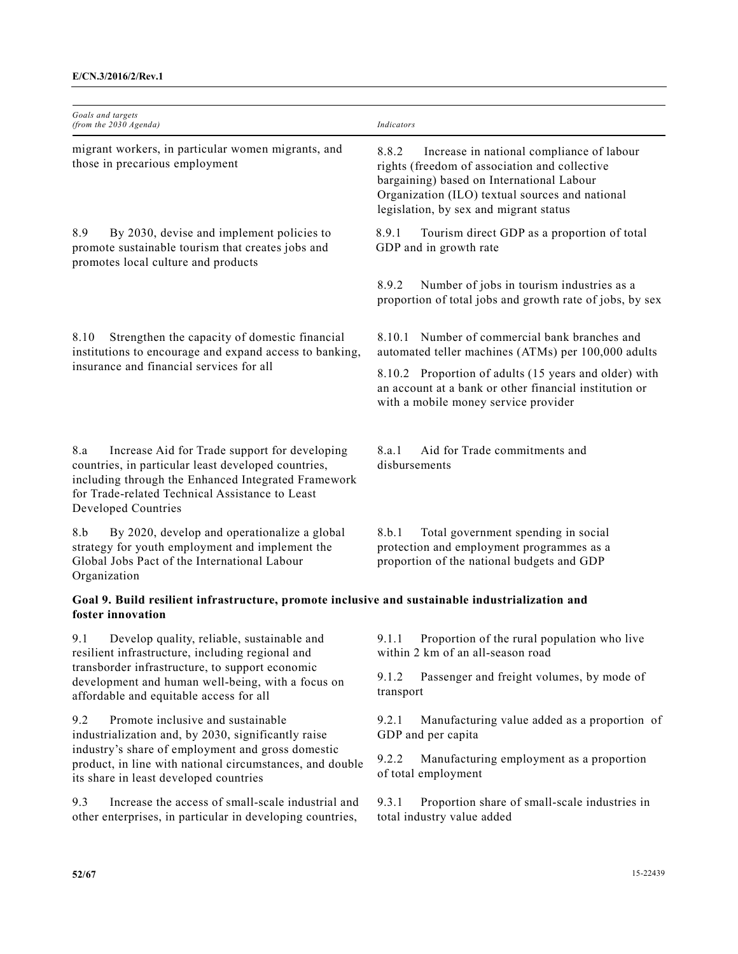| Goals and targets<br>(from the 2030 Agenda)                                                                                                                                                                                                                | Indicators                                                                                                                                                                                                                                    |
|------------------------------------------------------------------------------------------------------------------------------------------------------------------------------------------------------------------------------------------------------------|-----------------------------------------------------------------------------------------------------------------------------------------------------------------------------------------------------------------------------------------------|
| migrant workers, in particular women migrants, and<br>those in precarious employment                                                                                                                                                                       | 8.8.2<br>Increase in national compliance of labour<br>rights (freedom of association and collective<br>bargaining) based on International Labour<br>Organization (ILO) textual sources and national<br>legislation, by sex and migrant status |
| 8.9<br>By 2030, devise and implement policies to<br>promote sustainable tourism that creates jobs and<br>promotes local culture and products                                                                                                               | 8.9.1<br>Tourism direct GDP as a proportion of total<br>GDP and in growth rate                                                                                                                                                                |
|                                                                                                                                                                                                                                                            | 8.9.2<br>Number of jobs in tourism industries as a<br>proportion of total jobs and growth rate of jobs, by sex                                                                                                                                |
| Strengthen the capacity of domestic financial<br>8.10<br>institutions to encourage and expand access to banking,<br>insurance and financial services for all                                                                                               | 8.10.1 Number of commercial bank branches and<br>automated teller machines (ATMs) per 100,000 adults                                                                                                                                          |
|                                                                                                                                                                                                                                                            | 8.10.2 Proportion of adults (15 years and older) with<br>an account at a bank or other financial institution or<br>with a mobile money service provider                                                                                       |
| 8.a<br>Increase Aid for Trade support for developing<br>countries, in particular least developed countries,<br>including through the Enhanced Integrated Framework<br>for Trade-related Technical Assistance to Least<br>Developed Countries               | Aid for Trade commitments and<br>8.a.1<br>disbursements                                                                                                                                                                                       |
| 8.b<br>By 2020, develop and operationalize a global<br>strategy for youth employment and implement the<br>Global Jobs Pact of the International Labour<br>Organization                                                                                     | Total government spending in social<br>8.b.1<br>protection and employment programmes as a<br>proportion of the national budgets and GDP                                                                                                       |
| Goal 9. Build resilient infrastructure, promote inclusive and sustainable industrialization and<br>foster innovation                                                                                                                                       |                                                                                                                                                                                                                                               |
| 9.1 Develop quality, reliable, sustainable and<br>resilient infrastructure, including regional and<br>transborder infrastructure, to support economic<br>development and human well-being, with a focus on<br>affordable and equitable access for all      | 9.1.1 Proportion of the rural population who live<br>within 2 km of an all-season road                                                                                                                                                        |
|                                                                                                                                                                                                                                                            | 9.1.2<br>Passenger and freight volumes, by mode of<br>transport                                                                                                                                                                               |
| Promote inclusive and sustainable<br>9.2<br>industrialization and, by 2030, significantly raise<br>industry's share of employment and gross domestic<br>product, in line with national circumstances, and double<br>its share in least developed countries | 9.2.1<br>Manufacturing value added as a proportion of<br>GDP and per capita                                                                                                                                                                   |
|                                                                                                                                                                                                                                                            | 9.2.2<br>Manufacturing employment as a proportion<br>of total employment                                                                                                                                                                      |
| Increase the access of small-scale industrial and<br>9.3<br>other enterprises, in particular in developing countries,                                                                                                                                      | 9.3.1<br>Proportion share of small-scale industries in<br>total industry value added                                                                                                                                                          |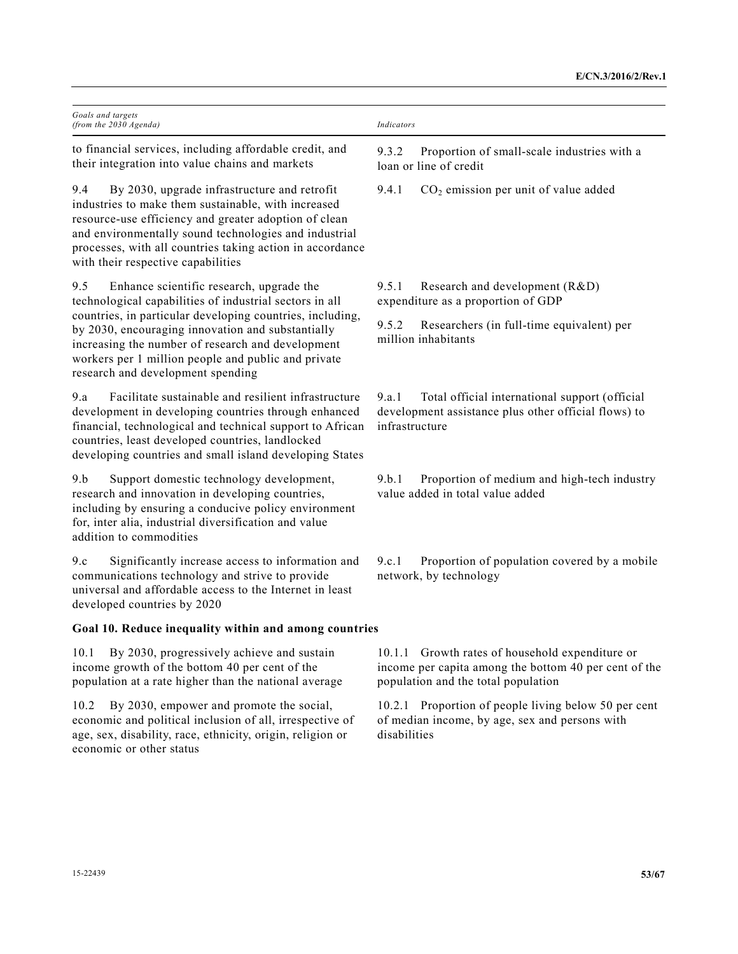| Goals and targets<br>(from the 2030 Agenda)                                                                                                                                                                                                                                                                                     | Indicators                                                                                                                                      |
|---------------------------------------------------------------------------------------------------------------------------------------------------------------------------------------------------------------------------------------------------------------------------------------------------------------------------------|-------------------------------------------------------------------------------------------------------------------------------------------------|
| to financial services, including affordable credit, and<br>their integration into value chains and markets                                                                                                                                                                                                                      | Proportion of small-scale industries with a<br>9.3.2<br>loan or line of credit                                                                  |
| By 2030, upgrade infrastructure and retrofit<br>9.4<br>industries to make them sustainable, with increased<br>resource-use efficiency and greater adoption of clean<br>and environmentally sound technologies and industrial<br>processes, with all countries taking action in accordance<br>with their respective capabilities | 9.4.1<br>$CO2$ emission per unit of value added                                                                                                 |
| 9.5<br>Enhance scientific research, upgrade the<br>technological capabilities of industrial sectors in all                                                                                                                                                                                                                      | 9.5.1<br>Research and development (R&D)<br>expenditure as a proportion of GDP                                                                   |
| countries, in particular developing countries, including,<br>by 2030, encouraging innovation and substantially<br>increasing the number of research and development<br>workers per 1 million people and public and private<br>research and development spending                                                                 | 9.5.2<br>Researchers (in full-time equivalent) per<br>million inhabitants                                                                       |
| Facilitate sustainable and resilient infrastructure<br>9.a<br>development in developing countries through enhanced<br>financial, technological and technical support to African<br>countries, least developed countries, landlocked<br>developing countries and small island developing States                                  | Total official international support (official<br>9.a.1<br>development assistance plus other official flows) to<br>infrastructure               |
| 9.b<br>Support domestic technology development,<br>research and innovation in developing countries,<br>including by ensuring a conducive policy environment<br>for, inter alia, industrial diversification and value<br>addition to commodities                                                                                 | Proportion of medium and high-tech industry<br>9.b.1<br>value added in total value added                                                        |
| Significantly increase access to information and<br>9.c<br>communications technology and strive to provide<br>universal and affordable access to the Internet in least<br>developed countries by 2020                                                                                                                           | 9.c.1<br>Proportion of population covered by a mobile<br>network, by technology                                                                 |
| Goal 10. Reduce inequality within and among countries                                                                                                                                                                                                                                                                           |                                                                                                                                                 |
| By 2030, progressively achieve and sustain<br>10.1<br>income growth of the bottom 40 per cent of the<br>population at a rate higher than the national average                                                                                                                                                                   | 10.1.1 Growth rates of household expenditure or<br>income per capita among the bottom 40 per cent of the<br>population and the total population |
| By 2030, empower and promote the social,<br>10.2<br>economic and political inclusion of all, irrespective of<br>age, sex, disability, race, ethnicity, origin, religion or<br>economic or other status                                                                                                                          | 10.2.1 Proportion of people living below 50 per cent<br>of median income, by age, sex and persons with<br>disabilities                          |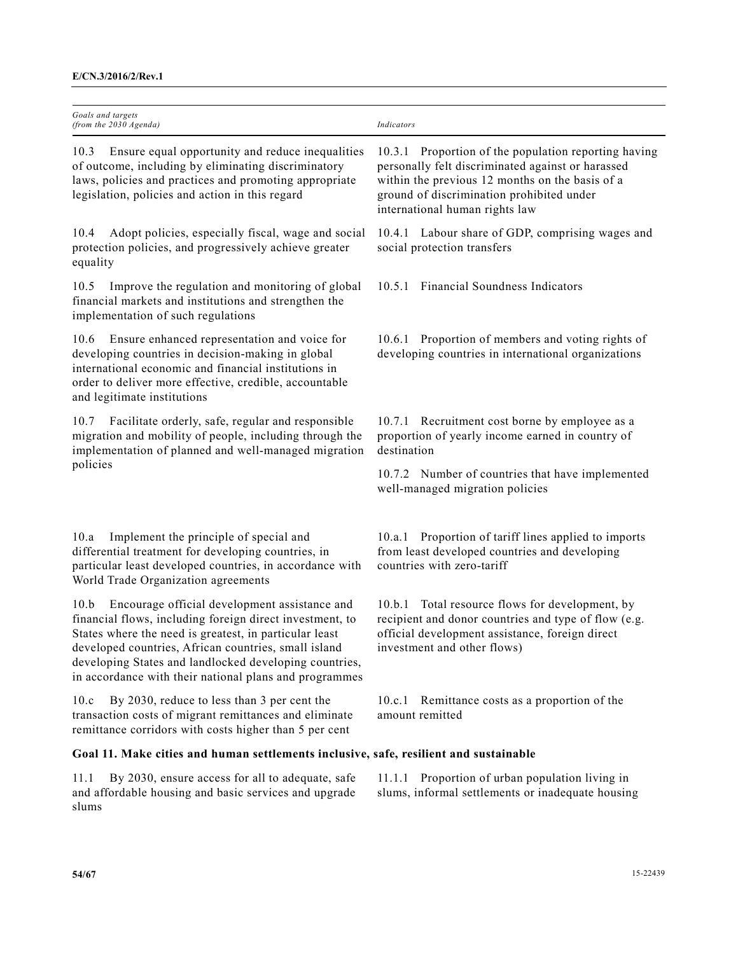| Goals and targets<br>(from the 2030 Agenda)                                                                                                                                                                                                                                                                                                             | Indicators                                                                                                                                                                                                                                  |
|---------------------------------------------------------------------------------------------------------------------------------------------------------------------------------------------------------------------------------------------------------------------------------------------------------------------------------------------------------|---------------------------------------------------------------------------------------------------------------------------------------------------------------------------------------------------------------------------------------------|
| Ensure equal opportunity and reduce inequalities<br>10.3<br>of outcome, including by eliminating discriminatory<br>laws, policies and practices and promoting appropriate<br>legislation, policies and action in this regard                                                                                                                            | 10.3.1 Proportion of the population reporting having<br>personally felt discriminated against or harassed<br>within the previous 12 months on the basis of a<br>ground of discrimination prohibited under<br>international human rights law |
| Adopt policies, especially fiscal, wage and social<br>10.4<br>protection policies, and progressively achieve greater<br>equality                                                                                                                                                                                                                        | 10.4.1 Labour share of GDP, comprising wages and<br>social protection transfers                                                                                                                                                             |
| Improve the regulation and monitoring of global<br>10.5<br>financial markets and institutions and strengthen the<br>implementation of such regulations                                                                                                                                                                                                  | 10.5.1 Financial Soundness Indicators                                                                                                                                                                                                       |
| Ensure enhanced representation and voice for<br>10.6<br>developing countries in decision-making in global<br>international economic and financial institutions in<br>order to deliver more effective, credible, accountable<br>and legitimate institutions                                                                                              | 10.6.1 Proportion of members and voting rights of<br>developing countries in international organizations                                                                                                                                    |
| Facilitate orderly, safe, regular and responsible<br>10.7<br>migration and mobility of people, including through the<br>implementation of planned and well-managed migration                                                                                                                                                                            | 10.7.1 Recruitment cost borne by employee as a<br>proportion of yearly income earned in country of<br>destination                                                                                                                           |
| policies                                                                                                                                                                                                                                                                                                                                                | 10.7.2 Number of countries that have implemented<br>well-managed migration policies                                                                                                                                                         |
| Implement the principle of special and<br>10.a<br>differential treatment for developing countries, in<br>particular least developed countries, in accordance with<br>World Trade Organization agreements                                                                                                                                                | 10.a.1 Proportion of tariff lines applied to imports<br>from least developed countries and developing<br>countries with zero-tariff                                                                                                         |
| Encourage official development assistance and<br>10.b<br>financial flows, including foreign direct investment, to<br>States where the need is greatest, in particular least<br>developed countries, African countries, small island<br>developing States and landlocked developing countries,<br>in accordance with their national plans and programmes | Total resource flows for development, by<br>10.b.1<br>recipient and donor countries and type of flow (e.g.<br>official development assistance, foreign direct<br>investment and other flows)                                                |
| By 2030, reduce to less than 3 per cent the<br>10.c<br>transaction costs of migrant remittances and eliminate<br>remittance corridors with costs higher than 5 per cent                                                                                                                                                                                 | Remittance costs as a proportion of the<br>10.c.1<br>amount remitted                                                                                                                                                                        |
| Goal 11. Make cities and human settlements inclusive, safe, resilient and sustainable                                                                                                                                                                                                                                                                   |                                                                                                                                                                                                                                             |
| By 2030, ensure access for all to adequate, safe<br>11.1<br>and affordable housing and basic services and upgrade<br>slums                                                                                                                                                                                                                              | 11.1.1 Proportion of urban population living in<br>slums, informal settlements or inadequate housing                                                                                                                                        |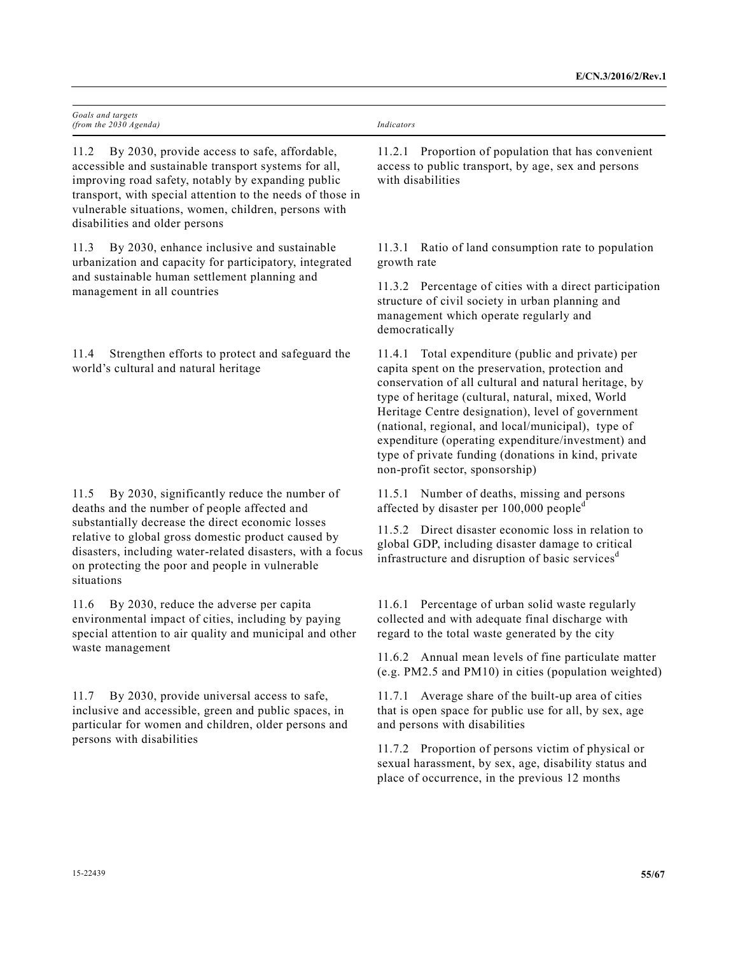| Goals and targets<br>(from the 2030 Agenda)                                                                                                                                                                                                                                                                                 | Indicators                                                                                                                                                                                                                                                                                                                                                                                                                                                                     |
|-----------------------------------------------------------------------------------------------------------------------------------------------------------------------------------------------------------------------------------------------------------------------------------------------------------------------------|--------------------------------------------------------------------------------------------------------------------------------------------------------------------------------------------------------------------------------------------------------------------------------------------------------------------------------------------------------------------------------------------------------------------------------------------------------------------------------|
| 11.2<br>By 2030, provide access to safe, affordable,<br>accessible and sustainable transport systems for all,<br>improving road safety, notably by expanding public<br>transport, with special attention to the needs of those in<br>vulnerable situations, women, children, persons with<br>disabilities and older persons | 11.2.1 Proportion of population that has convenient<br>access to public transport, by age, sex and persons<br>with disabilities                                                                                                                                                                                                                                                                                                                                                |
| By 2030, enhance inclusive and sustainable<br>11.3<br>urbanization and capacity for participatory, integrated<br>and sustainable human settlement planning and<br>management in all countries                                                                                                                               | 11.3.1 Ratio of land consumption rate to population<br>growth rate                                                                                                                                                                                                                                                                                                                                                                                                             |
|                                                                                                                                                                                                                                                                                                                             | 11.3.2 Percentage of cities with a direct participation<br>structure of civil society in urban planning and<br>management which operate regularly and<br>democratically                                                                                                                                                                                                                                                                                                        |
| 11.4<br>Strengthen efforts to protect and safeguard the<br>world's cultural and natural heritage                                                                                                                                                                                                                            | 11.4.1 Total expenditure (public and private) per<br>capita spent on the preservation, protection and<br>conservation of all cultural and natural heritage, by<br>type of heritage (cultural, natural, mixed, World<br>Heritage Centre designation), level of government<br>(national, regional, and local/municipal), type of<br>expenditure (operating expenditure/investment) and<br>type of private funding (donations in kind, private<br>non-profit sector, sponsorship) |
| 11.5<br>By 2030, significantly reduce the number of<br>deaths and the number of people affected and                                                                                                                                                                                                                         | 11.5.1 Number of deaths, missing and persons<br>affected by disaster per 100,000 people <sup>d</sup>                                                                                                                                                                                                                                                                                                                                                                           |
| substantially decrease the direct economic losses<br>relative to global gross domestic product caused by<br>disasters, including water-related disasters, with a focus<br>on protecting the poor and people in vulnerable<br>situations                                                                                     | 11.5.2 Direct disaster economic loss in relation to<br>global GDP, including disaster damage to critical<br>infrastructure and disruption of basic services <sup>d</sup>                                                                                                                                                                                                                                                                                                       |
| By 2030, reduce the adverse per capita<br>11.6<br>environmental impact of cities, including by paying<br>special attention to air quality and municipal and other<br>waste management                                                                                                                                       | 11.6.1 Percentage of urban solid waste regularly<br>collected and with adequate final discharge with<br>regard to the total waste generated by the city                                                                                                                                                                                                                                                                                                                        |
|                                                                                                                                                                                                                                                                                                                             | 11.6.2 Annual mean levels of fine particulate matter<br>(e.g. PM2.5 and PM10) in cities (population weighted)                                                                                                                                                                                                                                                                                                                                                                  |
| By 2030, provide universal access to safe,<br>11.7<br>inclusive and accessible, green and public spaces, in<br>particular for women and children, older persons and<br>persons with disabilities                                                                                                                            | 11.7.1 Average share of the built-up area of cities<br>that is open space for public use for all, by sex, age<br>and persons with disabilities                                                                                                                                                                                                                                                                                                                                 |
|                                                                                                                                                                                                                                                                                                                             | 11.7.2 Proportion of persons victim of physical or<br>sexual harassment, by sex, age, disability status and<br>place of occurrence, in the previous 12 months                                                                                                                                                                                                                                                                                                                  |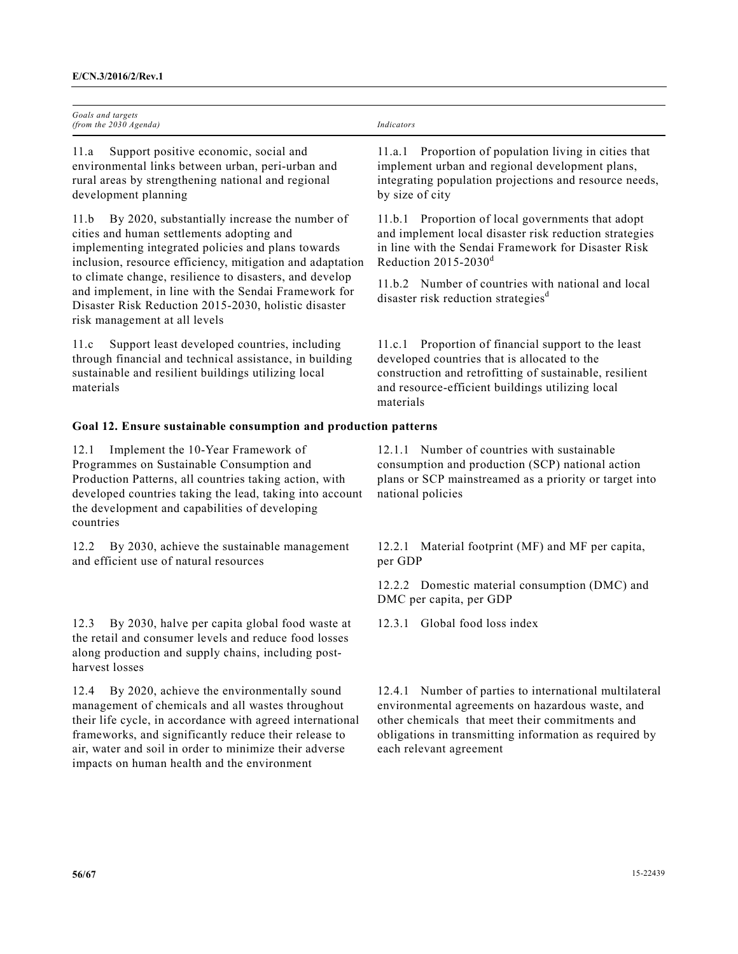| Goals and targets<br>(from the 2030 Agenda)                                                                                                                                                                                                                                                                                                                                                                                       | <b>Indicators</b>                                                                                                                                                                                                                                  |  |
|-----------------------------------------------------------------------------------------------------------------------------------------------------------------------------------------------------------------------------------------------------------------------------------------------------------------------------------------------------------------------------------------------------------------------------------|----------------------------------------------------------------------------------------------------------------------------------------------------------------------------------------------------------------------------------------------------|--|
| 11.a<br>Support positive economic, social and<br>environmental links between urban, peri-urban and<br>rural areas by strengthening national and regional<br>development planning                                                                                                                                                                                                                                                  | Proportion of population living in cities that<br>11.a.1<br>implement urban and regional development plans,<br>integrating population projections and resource needs,<br>by size of city                                                           |  |
| By 2020, substantially increase the number of<br>11.b<br>cities and human settlements adopting and<br>implementing integrated policies and plans towards<br>inclusion, resource efficiency, mitigation and adaptation<br>to climate change, resilience to disasters, and develop<br>and implement, in line with the Sendai Framework for<br>Disaster Risk Reduction 2015-2030, holistic disaster<br>risk management at all levels | 11.b.1 Proportion of local governments that adopt<br>and implement local disaster risk reduction strategies<br>in line with the Sendai Framework for Disaster Risk<br>Reduction $2015 - 2030$ <sup>d</sup>                                         |  |
|                                                                                                                                                                                                                                                                                                                                                                                                                                   | 11.b.2 Number of countries with national and local<br>disaster risk reduction strategies <sup>d</sup>                                                                                                                                              |  |
| Support least developed countries, including<br>11.c<br>through financial and technical assistance, in building<br>sustainable and resilient buildings utilizing local<br>materials                                                                                                                                                                                                                                               | Proportion of financial support to the least<br>11.c.1<br>developed countries that is allocated to the<br>construction and retrofitting of sustainable, resilient<br>and resource-efficient buildings utilizing local<br>materials                 |  |
| Goal 12. Ensure sustainable consumption and production patterns                                                                                                                                                                                                                                                                                                                                                                   |                                                                                                                                                                                                                                                    |  |
| 12.1<br>Implement the 10-Year Framework of<br>Programmes on Sustainable Consumption and<br>Production Patterns, all countries taking action, with<br>developed countries taking the lead, taking into account<br>the development and capabilities of developing<br>countries                                                                                                                                                      | 12.1.1 Number of countries with sustainable<br>consumption and production (SCP) national action<br>plans or SCP mainstreamed as a priority or target into<br>national policies                                                                     |  |
| By 2030, achieve the sustainable management<br>12.2<br>and efficient use of natural resources                                                                                                                                                                                                                                                                                                                                     | Material footprint (MF) and MF per capita,<br>12.2.1<br>per GDP                                                                                                                                                                                    |  |
|                                                                                                                                                                                                                                                                                                                                                                                                                                   | 12.2.2 Domestic material consumption (DMC) and<br>DMC per capita, per GDP                                                                                                                                                                          |  |
| By 2030, halve per capita global food waste at<br>12.3<br>the retail and consumer levels and reduce food losses<br>along production and supply chains, including post-<br>harvest losses                                                                                                                                                                                                                                          | Global food loss index<br>12.3.1                                                                                                                                                                                                                   |  |
| By 2020, achieve the environmentally sound<br>12.4<br>management of chemicals and all wastes throughout<br>their life cycle, in accordance with agreed international<br>frameworks, and significantly reduce their release to<br>air, water and soil in order to minimize their adverse<br>impacts on human health and the environment                                                                                            | 12.4.1 Number of parties to international multilateral<br>environmental agreements on hazardous waste, and<br>other chemicals that meet their commitments and<br>obligations in transmitting information as required by<br>each relevant agreement |  |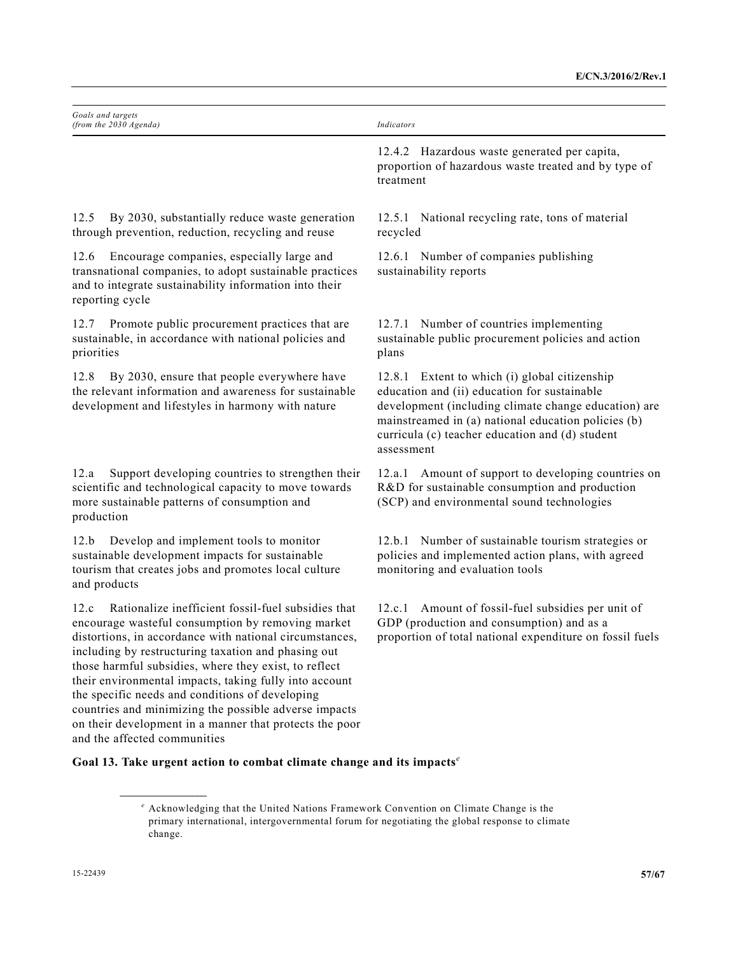| Goals and targets<br>(from the 2030 Agenda)                                                                                                                                                                                                                                                                                                                                                                                                                                                                                                                 | Indicators                                                                                                                                                                                                                                                                    |
|-------------------------------------------------------------------------------------------------------------------------------------------------------------------------------------------------------------------------------------------------------------------------------------------------------------------------------------------------------------------------------------------------------------------------------------------------------------------------------------------------------------------------------------------------------------|-------------------------------------------------------------------------------------------------------------------------------------------------------------------------------------------------------------------------------------------------------------------------------|
|                                                                                                                                                                                                                                                                                                                                                                                                                                                                                                                                                             | 12.4.2 Hazardous waste generated per capita,<br>proportion of hazardous waste treated and by type of<br>treatment                                                                                                                                                             |
| By 2030, substantially reduce waste generation<br>12.5<br>through prevention, reduction, recycling and reuse                                                                                                                                                                                                                                                                                                                                                                                                                                                | 12.5.1 National recycling rate, tons of material<br>recycled                                                                                                                                                                                                                  |
| Encourage companies, especially large and<br>12.6<br>transnational companies, to adopt sustainable practices<br>and to integrate sustainability information into their<br>reporting cycle                                                                                                                                                                                                                                                                                                                                                                   | 12.6.1 Number of companies publishing<br>sustainability reports                                                                                                                                                                                                               |
| Promote public procurement practices that are<br>12.7<br>sustainable, in accordance with national policies and<br>priorities                                                                                                                                                                                                                                                                                                                                                                                                                                | 12.7.1 Number of countries implementing<br>sustainable public procurement policies and action<br>plans                                                                                                                                                                        |
| By 2030, ensure that people everywhere have<br>12.8<br>the relevant information and awareness for sustainable<br>development and lifestyles in harmony with nature                                                                                                                                                                                                                                                                                                                                                                                          | 12.8.1 Extent to which (i) global citizenship<br>education and (ii) education for sustainable<br>development (including climate change education) are<br>mainstreamed in (a) national education policies (b)<br>curricula (c) teacher education and (d) student<br>assessment |
| Support developing countries to strengthen their<br>12.a<br>scientific and technological capacity to move towards<br>more sustainable patterns of consumption and<br>production                                                                                                                                                                                                                                                                                                                                                                             | 12.a.1 Amount of support to developing countries on<br>R&D for sustainable consumption and production<br>(SCP) and environmental sound technologies                                                                                                                           |
| Develop and implement tools to monitor<br>12.b<br>sustainable development impacts for sustainable<br>tourism that creates jobs and promotes local culture<br>and products                                                                                                                                                                                                                                                                                                                                                                                   | 12.b.1 Number of sustainable tourism strategies or<br>policies and implemented action plans, with agreed<br>monitoring and evaluation tools                                                                                                                                   |
| Rationalize inefficient fossil-fuel subsidies that<br>12.c<br>encourage wasteful consumption by removing market<br>distortions, in accordance with national circumstances,<br>including by restructuring taxation and phasing out<br>those harmful subsidies, where they exist, to reflect<br>their environmental impacts, taking fully into account<br>the specific needs and conditions of developing<br>countries and minimizing the possible adverse impacts<br>on their development in a manner that protects the poor<br>and the affected communities | Amount of fossil-fuel subsidies per unit of<br>12.c.1<br>GDP (production and consumption) and as a<br>proportion of total national expenditure on fossil fuels                                                                                                                |

## **Goal 13. Take urgent action to combat climate change and its impacts***<sup>e</sup>*

**\_\_\_\_\_\_\_\_\_\_\_\_\_\_\_\_\_\_** 

<sup>&</sup>lt;sup>e</sup> Acknowledging that the United Nations Framework Convention on Climate Change is the primary international, intergovernmental forum for negotiating the global response to climate change.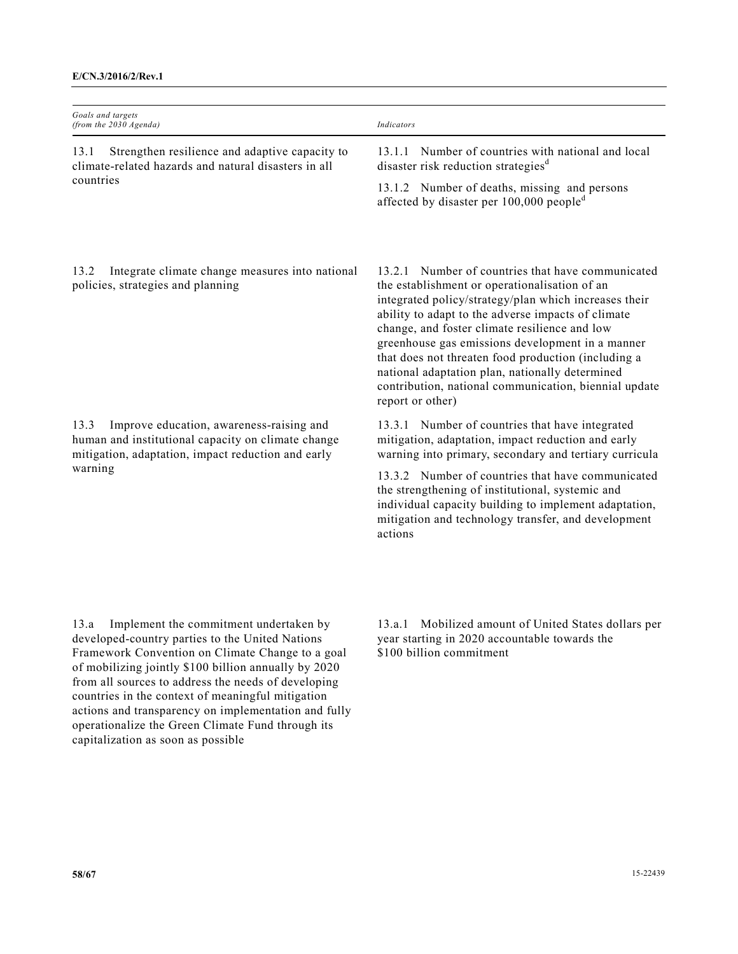| Goals and targets<br>(from the 2030 Agenda)                                                                                                                             | Indicators                                                                                                                                                                                                                                                                                                                                                                                                                                                                                                       |
|-------------------------------------------------------------------------------------------------------------------------------------------------------------------------|------------------------------------------------------------------------------------------------------------------------------------------------------------------------------------------------------------------------------------------------------------------------------------------------------------------------------------------------------------------------------------------------------------------------------------------------------------------------------------------------------------------|
| Strengthen resilience and adaptive capacity to<br>13.1<br>climate-related hazards and natural disasters in all<br>countries                                             | Number of countries with national and local<br>13.1.1<br>disaster risk reduction strategies <sup>d</sup>                                                                                                                                                                                                                                                                                                                                                                                                         |
|                                                                                                                                                                         | 13.1.2 Number of deaths, missing and persons<br>affected by disaster per $100,000$ people <sup>d</sup>                                                                                                                                                                                                                                                                                                                                                                                                           |
| Integrate climate change measures into national<br>13.2<br>policies, strategies and planning                                                                            | Number of countries that have communicated<br>13.2.1<br>the establishment or operationalisation of an<br>integrated policy/strategy/plan which increases their<br>ability to adapt to the adverse impacts of climate<br>change, and foster climate resilience and low<br>greenhouse gas emissions development in a manner<br>that does not threaten food production (including a<br>national adaptation plan, nationally determined<br>contribution, national communication, biennial update<br>report or other) |
| 13.3<br>Improve education, awareness-raising and<br>human and institutional capacity on climate change<br>mitigation, adaptation, impact reduction and early<br>warning | 13.3.1 Number of countries that have integrated<br>mitigation, adaptation, impact reduction and early<br>warning into primary, secondary and tertiary curricula<br>13.3.2 Number of countries that have communicated                                                                                                                                                                                                                                                                                             |
|                                                                                                                                                                         | the strengthening of institutional, systemic and<br>individual capacity building to implement adaptation,<br>mitigation and technology transfer, and development<br>actions                                                                                                                                                                                                                                                                                                                                      |
|                                                                                                                                                                         |                                                                                                                                                                                                                                                                                                                                                                                                                                                                                                                  |

13.a Implement the commitment undertaken by developed-country parties to the United Nations Framework Convention on Climate Change to a goal of mobilizing jointly \$100 billion annually by 2020 from all sources to address the needs of developing countries in the context of meaningful mitigation actions and transparency on implementation and fully operationalize the Green Climate Fund through its capitalization as soon as possible

13.a.1 Mobilized amount of United States dollars per year starting in 2020 accountable towards the \$100 billion commitment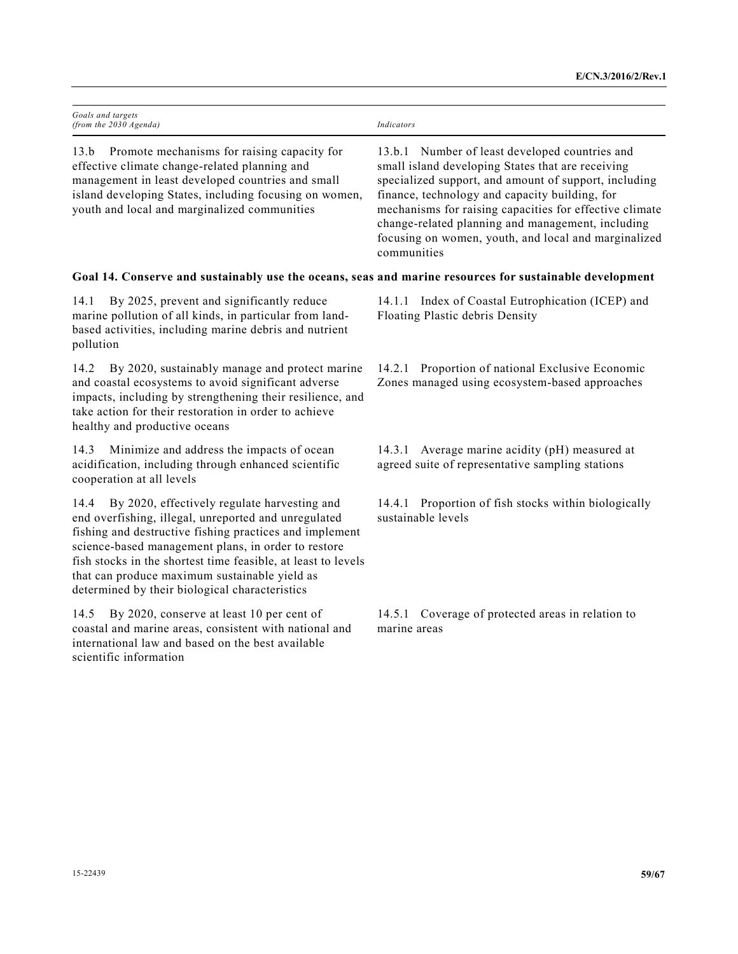| Goals and targets<br>(from the 2030 Agenda)                                                                                                                                                                                                                                                                                                                                                        | Indicators                                                                                                                                                                                                                                                                                                                                                                                            |
|----------------------------------------------------------------------------------------------------------------------------------------------------------------------------------------------------------------------------------------------------------------------------------------------------------------------------------------------------------------------------------------------------|-------------------------------------------------------------------------------------------------------------------------------------------------------------------------------------------------------------------------------------------------------------------------------------------------------------------------------------------------------------------------------------------------------|
| Promote mechanisms for raising capacity for<br>13.b<br>effective climate change-related planning and<br>management in least developed countries and small<br>island developing States, including focusing on women,<br>youth and local and marginalized communities                                                                                                                                | 13.b.1 Number of least developed countries and<br>small island developing States that are receiving<br>specialized support, and amount of support, including<br>finance, technology and capacity building, for<br>mechanisms for raising capacities for effective climate<br>change-related planning and management, including<br>focusing on women, youth, and local and marginalized<br>communities |
| Goal 14. Conserve and sustainably use the oceans, seas and marine resources for sustainable development                                                                                                                                                                                                                                                                                            |                                                                                                                                                                                                                                                                                                                                                                                                       |
| By 2025, prevent and significantly reduce<br>14.1<br>marine pollution of all kinds, in particular from land-<br>based activities, including marine debris and nutrient<br>pollution                                                                                                                                                                                                                | 14.1.1 Index of Coastal Eutrophication (ICEP) and<br>Floating Plastic debris Density                                                                                                                                                                                                                                                                                                                  |
| 14.2<br>By 2020, sustainably manage and protect marine<br>and coastal ecosystems to avoid significant adverse<br>impacts, including by strengthening their resilience, and<br>take action for their restoration in order to achieve<br>healthy and productive oceans                                                                                                                               | 14.2.1 Proportion of national Exclusive Economic<br>Zones managed using ecosystem-based approaches                                                                                                                                                                                                                                                                                                    |
| Minimize and address the impacts of ocean<br>14.3<br>acidification, including through enhanced scientific<br>cooperation at all levels                                                                                                                                                                                                                                                             | 14.3.1 Average marine acidity (pH) measured at<br>agreed suite of representative sampling stations                                                                                                                                                                                                                                                                                                    |
| By 2020, effectively regulate harvesting and<br>14.4<br>end overfishing, illegal, unreported and unregulated<br>fishing and destructive fishing practices and implement<br>science-based management plans, in order to restore<br>fish stocks in the shortest time feasible, at least to levels<br>that can produce maximum sustainable yield as<br>determined by their biological characteristics | 14.4.1 Proportion of fish stocks within biologically<br>sustainable levels                                                                                                                                                                                                                                                                                                                            |
| By 2020, conserve at least 10 per cent of<br>14.5<br>coastal and marine areas, consistent with national and<br>international law and based on the best available<br>scientific information                                                                                                                                                                                                         | 14.5.1 Coverage of protected areas in relation to<br>marine areas                                                                                                                                                                                                                                                                                                                                     |
|                                                                                                                                                                                                                                                                                                                                                                                                    |                                                                                                                                                                                                                                                                                                                                                                                                       |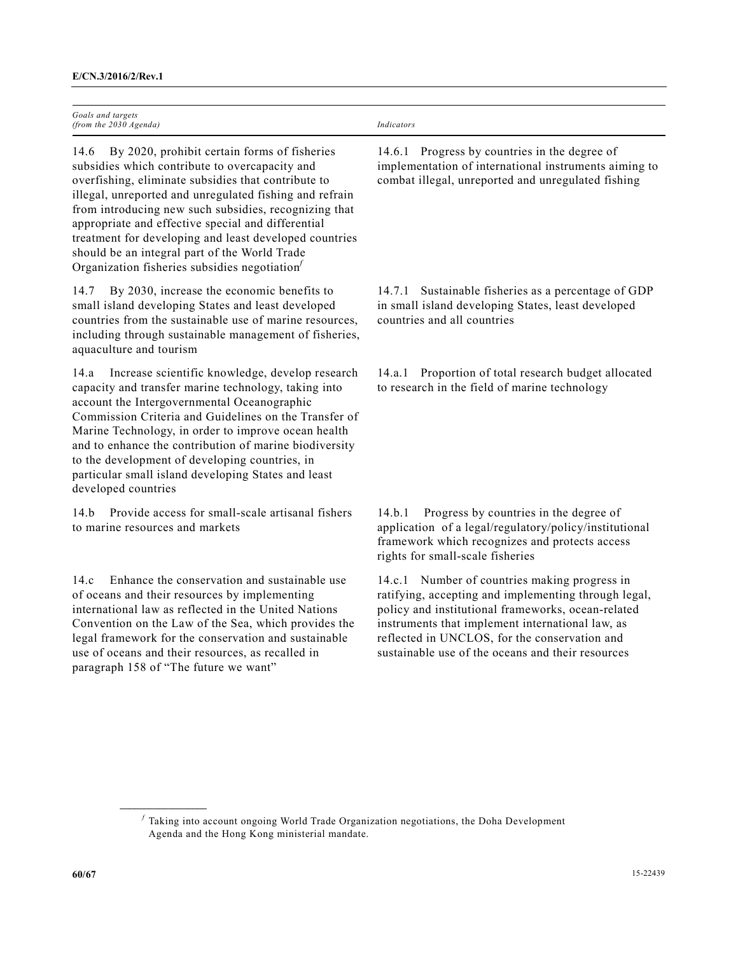| Goals and targets        |            |
|--------------------------|------------|
| (from the $2030$ Agenda) | Indicators |

14.6 By 2020, prohibit certain forms of fisheries subsidies which contribute to overcapacity and overfishing, eliminate subsidies that contribute to illegal, unreported and unregulated fishing and refrain from introducing new such subsidies, recognizing that appropriate and effective special and differential treatment for developing and least developed countries should be an integral part of the World Trade Organization fisheries subsidies negotiation*<sup>f</sup>*

14.7 By 2030, increase the economic benefits to small island developing States and least developed countries from the sustainable use of marine resources, including through sustainable management of fisheries, aquaculture and tourism

14.a Increase scientific knowledge, develop research capacity and transfer marine technology, taking into account the Intergovernmental Oceanographic Commission Criteria and Guidelines on the Transfer of Marine Technology, in order to improve ocean health and to enhance the contribution of marine biodiversity to the development of developing countries, in particular small island developing States and least developed countries

14.b Provide access for small-scale artisanal fishers to marine resources and markets

14.c Enhance the conservation and sustainable use of oceans and their resources by implementing international law as reflected in the United Nations Convention on the Law of the Sea, which provides the legal framework for the conservation and sustainable use of oceans and their resources, as recalled in paragraph 158 of "The future we want"

**\_\_\_\_\_\_\_\_\_\_\_\_\_\_\_\_\_\_** 

14.6.1 Progress by countries in the degree of implementation of international instruments aiming to combat illegal, unreported and unregulated fishing

14.7.1 Sustainable fisheries as a percentage of GDP in small island developing States, least developed countries and all countries

14.a.1 Proportion of total research budget allocated to research in the field of marine technology

14.b.1 Progress by countries in the degree of application of a legal/regulatory/policy/institutional framework which recognizes and protects access rights for small-scale fisheries

14.c.1 Number of countries making progress in ratifying, accepting and implementing through legal, policy and institutional frameworks, ocean-related instruments that implement international law, as reflected in UNCLOS, for the conservation and sustainable use of the oceans and their resources

*f* Taking into account ongoing World Trade Organization negotiations, the Doha Development Agenda and the Hong Kong ministerial mandate.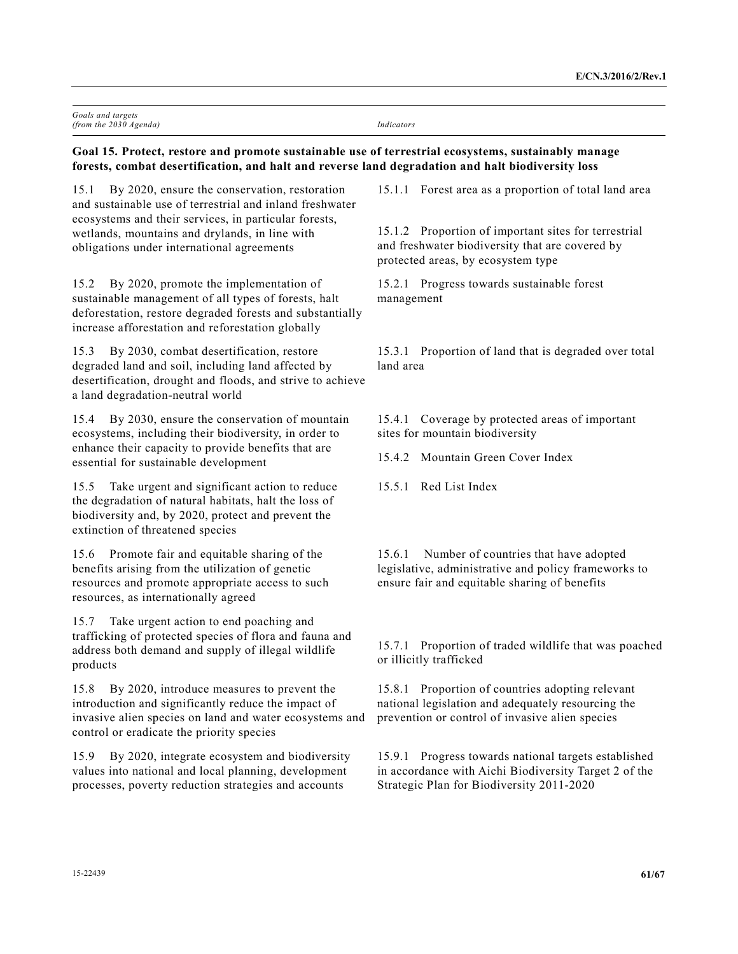| Goals and targets        |            |
|--------------------------|------------|
| (from the $2030$ Agenda) | Indicators |

## **Goal 15. Protect, restore and promote sustainable use of terrestrial ecosystems, sustainably manage forests, combat desertification, and halt and reverse land degradation and halt biodiversity loss**

15.1 By 2020, ensure the conservation, restoration and sustainable use of terrestrial and inland freshwater ecosystems and their services, in particular forests, wetlands, mountains and drylands, in line with obligations under international agreements

15.2 By 2020, promote the implementation of sustainable management of all types of forests, halt deforestation, restore degraded forests and substantially increase afforestation and reforestation globally

15.3 By 2030, combat desertification, restore degraded land and soil, including land affected by desertification, drought and floods, and strive to achieve a land degradation-neutral world

15.4 By 2030, ensure the conservation of mountain ecosystems, including their biodiversity, in order to enhance their capacity to provide benefits that are essential for sustainable development

15.5 Take urgent and significant action to reduce the degradation of natural habitats, halt the loss of biodiversity and, by 2020, protect and prevent the extinction of threatened species

15.6 Promote fair and equitable sharing of the benefits arising from the utilization of genetic resources and promote appropriate access to such resources, as internationally agreed

15.7 Take urgent action to end poaching and trafficking of protected species of flora and fauna and address both demand and supply of illegal wildlife products

15.8 By 2020, introduce measures to prevent the introduction and significantly reduce the impact of invasive alien species on land and water ecosystems and control or eradicate the priority species

15.9 By 2020, integrate ecosystem and biodiversity values into national and local planning, development processes, poverty reduction strategies and accounts

15.1.1 Forest area as a proportion of total land area

15.1.2 Proportion of important sites for terrestrial and freshwater biodiversity that are covered by protected areas, by ecosystem type

15.2.1 Progress towards sustainable forest management

15.3.1 Proportion of land that is degraded over total land area

15.4.1 Coverage by protected areas of important sites for mountain biodiversity

15.4.2 Mountain Green Cover Index

15.5.1 Red List Index

15.6.1 Number of countries that have adopted legislative, administrative and policy frameworks to ensure fair and equitable sharing of benefits

15.7.1 Proportion of traded wildlife that was poached or illicitly trafficked

15.8.1 Proportion of countries adopting relevant national legislation and adequately resourcing the prevention or control of invasive alien species

15.9.1 Progress towards national targets established in accordance with Aichi Biodiversity Target 2 of the Strategic Plan for Biodiversity 2011-2020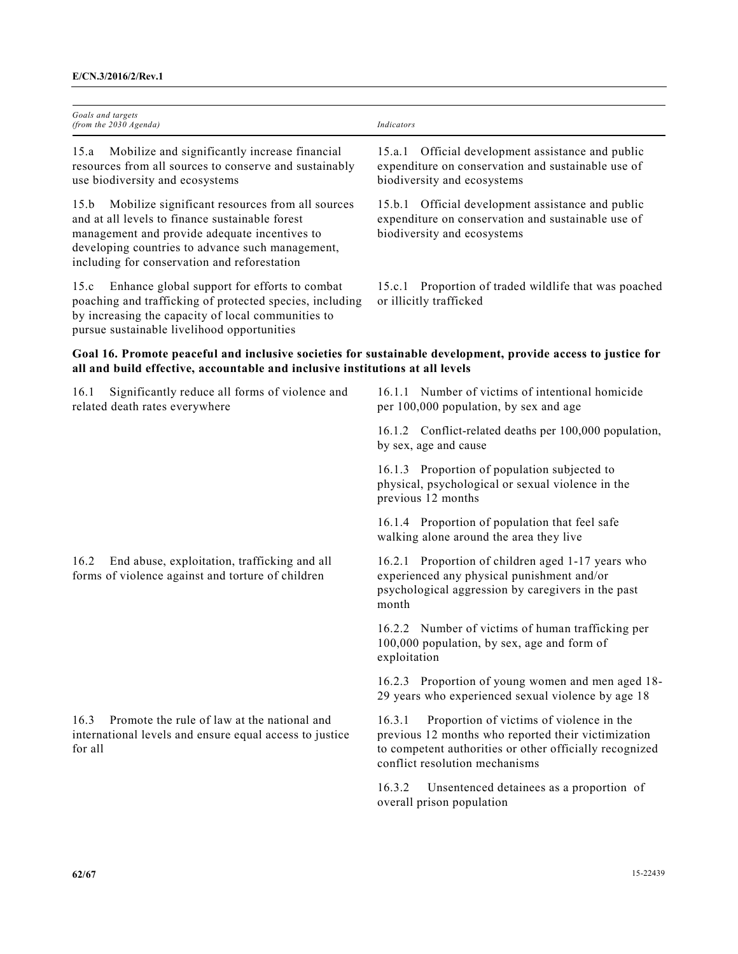| Goals and targets<br>(from the 2030 Agenda)                                                                                                                                                                                                                     | Indicators                                                                                                                                                                                             |
|-----------------------------------------------------------------------------------------------------------------------------------------------------------------------------------------------------------------------------------------------------------------|--------------------------------------------------------------------------------------------------------------------------------------------------------------------------------------------------------|
| Mobilize and significantly increase financial<br>15.a<br>resources from all sources to conserve and sustainably<br>use biodiversity and ecosystems                                                                                                              | 15.a.1 Official development assistance and public<br>expenditure on conservation and sustainable use of<br>biodiversity and ecosystems                                                                 |
| Mobilize significant resources from all sources<br>15.b<br>and at all levels to finance sustainable forest<br>management and provide adequate incentives to<br>developing countries to advance such management,<br>including for conservation and reforestation | 15.b.1 Official development assistance and public<br>expenditure on conservation and sustainable use of<br>biodiversity and ecosystems                                                                 |
| Enhance global support for efforts to combat<br>15.c<br>poaching and trafficking of protected species, including<br>by increasing the capacity of local communities to<br>pursue sustainable livelihood opportunities                                           | 15.c.1 Proportion of traded wildlife that was poached<br>or illicitly trafficked                                                                                                                       |
| Goal 16. Promote peaceful and inclusive societies for sustainable development, provide access to justice for<br>all and build effective, accountable and inclusive institutions at all levels                                                                   |                                                                                                                                                                                                        |
| Significantly reduce all forms of violence and<br>16.1<br>related death rates everywhere                                                                                                                                                                        | 16.1.1 Number of victims of intentional homicide<br>per 100,000 population, by sex and age                                                                                                             |
|                                                                                                                                                                                                                                                                 | 16.1.2 Conflict-related deaths per 100,000 population,<br>by sex, age and cause                                                                                                                        |
|                                                                                                                                                                                                                                                                 | 16.1.3 Proportion of population subjected to<br>physical, psychological or sexual violence in the<br>previous 12 months                                                                                |
|                                                                                                                                                                                                                                                                 | 16.1.4 Proportion of population that feel safe<br>walking alone around the area they live                                                                                                              |
| End abuse, exploitation, trafficking and all<br>16.2<br>forms of violence against and torture of children                                                                                                                                                       | 16.2.1 Proportion of children aged 1-17 years who<br>experienced any physical punishment and/or<br>psychological aggression by caregivers in the past<br>month                                         |
|                                                                                                                                                                                                                                                                 | 16.2.2 Number of victims of human trafficking per<br>100,000 population, by sex, age and form of<br>exploitation                                                                                       |
|                                                                                                                                                                                                                                                                 | 16.2.3 Proportion of young women and men aged 18-<br>29 years who experienced sexual violence by age 18                                                                                                |
| 16.3<br>Promote the rule of law at the national and<br>international levels and ensure equal access to justice<br>for all                                                                                                                                       | Proportion of victims of violence in the<br>16.3.1<br>previous 12 months who reported their victimization<br>to competent authorities or other officially recognized<br>conflict resolution mechanisms |
|                                                                                                                                                                                                                                                                 | 16.3.2<br>Unsentenced detainees as a proportion of<br>overall prison population                                                                                                                        |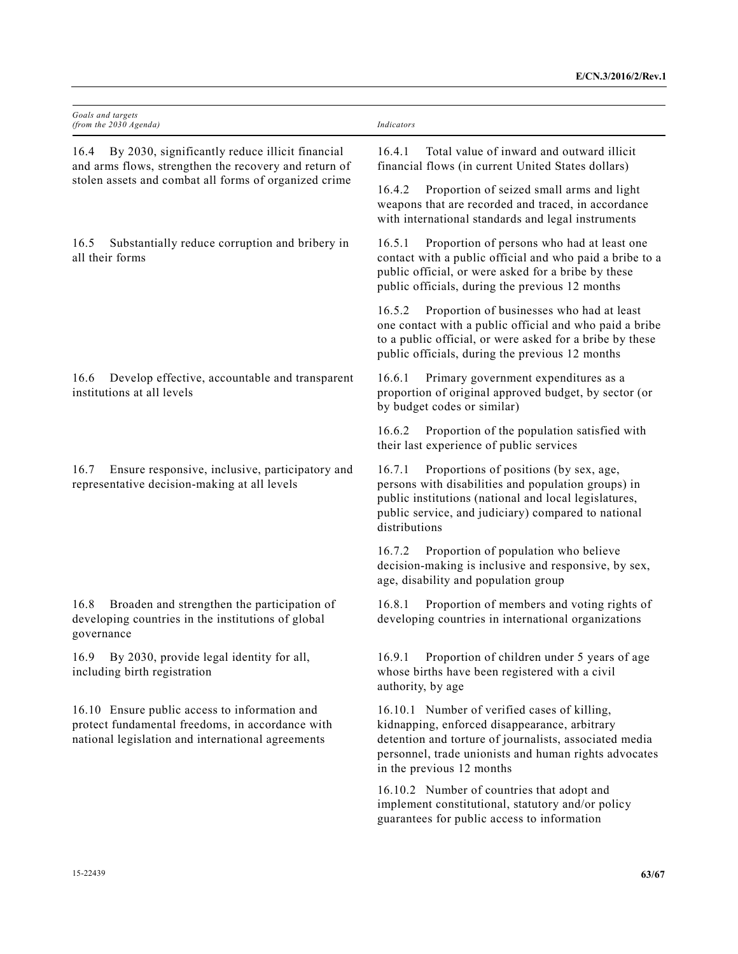| Goals and targets<br>(from the 2030 Agenda)                                                                                                                               | Indicators                                                                                                                                                                                                                                    |
|---------------------------------------------------------------------------------------------------------------------------------------------------------------------------|-----------------------------------------------------------------------------------------------------------------------------------------------------------------------------------------------------------------------------------------------|
| By 2030, significantly reduce illicit financial<br>16.4<br>and arms flows, strengthen the recovery and return of<br>stolen assets and combat all forms of organized crime | Total value of inward and outward illicit<br>16.4.1<br>financial flows (in current United States dollars)                                                                                                                                     |
|                                                                                                                                                                           | 16.4.2<br>Proportion of seized small arms and light<br>weapons that are recorded and traced, in accordance<br>with international standards and legal instruments                                                                              |
| Substantially reduce corruption and bribery in<br>16.5<br>all their forms                                                                                                 | Proportion of persons who had at least one<br>16.5.1<br>contact with a public official and who paid a bribe to a<br>public official, or were asked for a bribe by these<br>public officials, during the previous 12 months                    |
|                                                                                                                                                                           | 16.5.2<br>Proportion of businesses who had at least<br>one contact with a public official and who paid a bribe<br>to a public official, or were asked for a bribe by these<br>public officials, during the previous 12 months                 |
| 16.6<br>Develop effective, accountable and transparent<br>institutions at all levels                                                                                      | 16.6.1<br>Primary government expenditures as a<br>proportion of original approved budget, by sector (or<br>by budget codes or similar)                                                                                                        |
|                                                                                                                                                                           | Proportion of the population satisfied with<br>16.6.2<br>their last experience of public services                                                                                                                                             |
| Ensure responsive, inclusive, participatory and<br>16.7<br>representative decision-making at all levels                                                                   | Proportions of positions (by sex, age,<br>16.7.1<br>persons with disabilities and population groups) in<br>public institutions (national and local legislatures,<br>public service, and judiciary) compared to national<br>distributions      |
|                                                                                                                                                                           | Proportion of population who believe<br>16.7.2<br>decision-making is inclusive and responsive, by sex,<br>age, disability and population group                                                                                                |
| Broaden and strengthen the participation of<br>16.8<br>developing countries in the institutions of global<br>governance                                                   | Proportion of members and voting rights of<br>16.8.1<br>developing countries in international organizations                                                                                                                                   |
| By 2030, provide legal identity for all,<br>16.9<br>including birth registration                                                                                          | Proportion of children under 5 years of age<br>16.9.1<br>whose births have been registered with a civil<br>authority, by age                                                                                                                  |
| 16.10 Ensure public access to information and<br>protect fundamental freedoms, in accordance with<br>national legislation and international agreements                    | 16.10.1 Number of verified cases of killing,<br>kidnapping, enforced disappearance, arbitrary<br>detention and torture of journalists, associated media<br>personnel, trade unionists and human rights advocates<br>in the previous 12 months |
|                                                                                                                                                                           | 16.10.2 Number of countries that adopt and<br>implement constitutional, statutory and/or policy<br>guarantees for public access to information                                                                                                |
|                                                                                                                                                                           |                                                                                                                                                                                                                                               |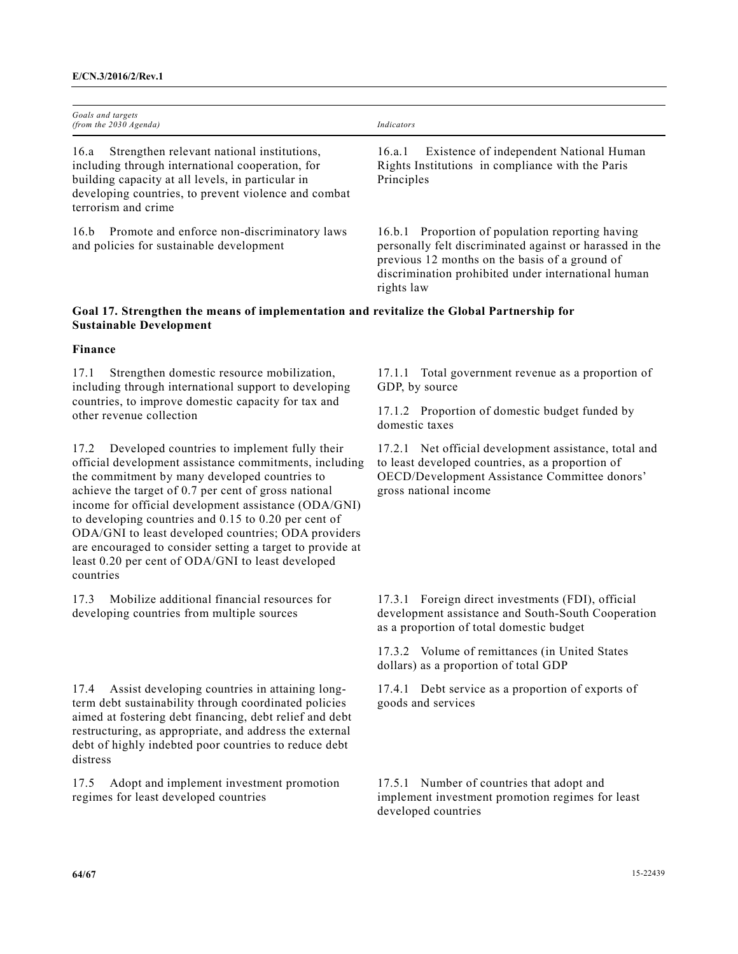| Goals and targets<br>(from the $2030$ Agenda)                                                                                                                                                                                              | Indicators                                                                                                                                                                                                                          |
|--------------------------------------------------------------------------------------------------------------------------------------------------------------------------------------------------------------------------------------------|-------------------------------------------------------------------------------------------------------------------------------------------------------------------------------------------------------------------------------------|
| Strengthen relevant national institutions,<br>16.a<br>including through international cooperation, for<br>building capacity at all levels, in particular in<br>developing countries, to prevent violence and combat<br>terrorism and crime | Existence of independent National Human<br>16.a.1<br>Rights Institutions in compliance with the Paris<br>Principles                                                                                                                 |
| Promote and enforce non-discriminatory laws<br>16.b<br>and policies for sustainable development                                                                                                                                            | 16.b.1 Proportion of population reporting having<br>personally felt discriminated against or harassed in the<br>previous 12 months on the basis of a ground of<br>discrimination prohibited under international human<br>rights law |

## **Goal 17. Strengthen the means of implementation and revitalize the Global Partnership for Sustainable Development**

#### **Finance**

17.1 Strengthen domestic resource mobilization, including through international support to developing countries, to improve domestic capacity for tax and other revenue collection

17.2 Developed countries to implement fully their official development assistance commitments, including the commitment by many developed countries to achieve the target of 0.7 per cent of gross national income for official development assistance (ODA/GNI) to developing countries and 0.15 to 0.20 per cent of ODA/GNI to least developed countries; ODA providers are encouraged to consider setting a target to provide at least 0.20 per cent of ODA/GNI to least developed countries

17.3 Mobilize additional financial resources for developing countries from multiple sources

17.4 Assist developing countries in attaining longterm debt sustainability through coordinated policies aimed at fostering debt financing, debt relief and debt restructuring, as appropriate, and address the external debt of highly indebted poor countries to reduce debt distress

17.5 Adopt and implement investment promotion regimes for least developed countries

17.1.1 Total government revenue as a proportion of GDP, by source

17.1.2 Proportion of domestic budget funded by domestic taxes

17.2.1 Net official development assistance, total and to least developed countries, as a proportion of OECD/Development Assistance Committee donors' gross national income

17.3.1 Foreign direct investments (FDI), official development assistance and South-South Cooperation as a proportion of total domestic budget

17.3.2 Volume of remittances (in United States dollars) as a proportion of total GDP

17.4.1 Debt service as a proportion of exports of goods and services

17.5.1 Number of countries that adopt and implement investment promotion regimes for least developed countries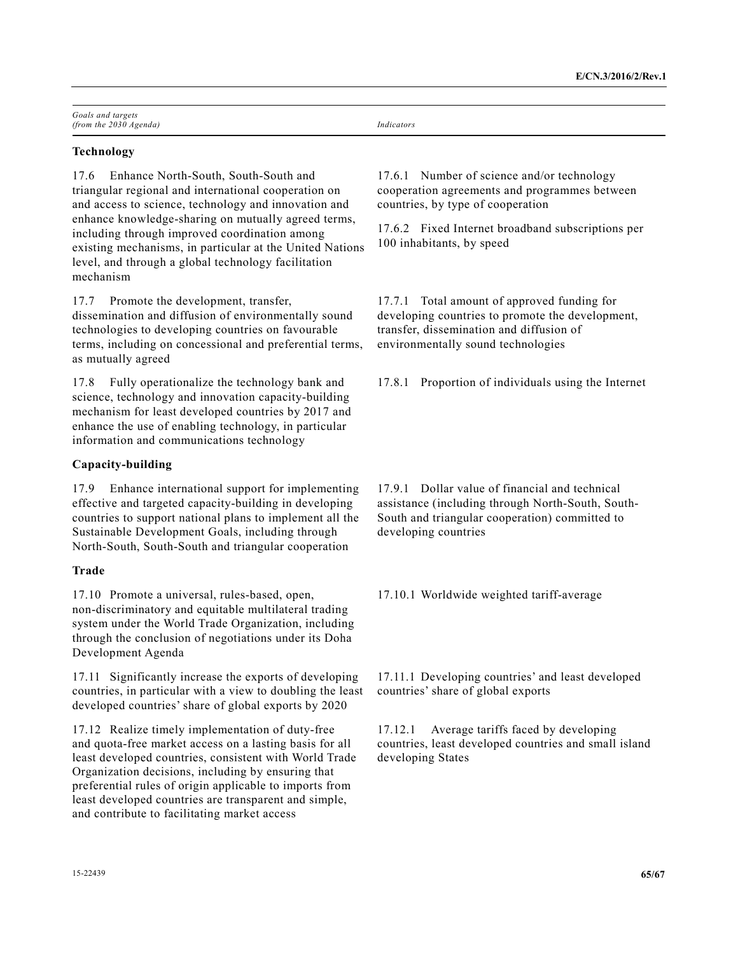| Goals and targets        |            |
|--------------------------|------------|
| (from the $2030$ Agenda) | Indicators |

## **Technology**

17.6 Enhance North-South, South-South and triangular regional and international cooperation on and access to science, technology and innovation and enhance knowledge-sharing on mutually agreed terms, including through improved coordination among existing mechanisms, in particular at the United Nations level, and through a global technology facilitation mechanism

17.7 Promote the development, transfer, dissemination and diffusion of environmentally sound technologies to developing countries on favourable terms, including on concessional and preferential terms, as mutually agreed

17.8 Fully operationalize the technology bank and science, technology and innovation capacity-building mechanism for least developed countries by 2017 and enhance the use of enabling technology, in particular information and communications technology

## **Capacity-building**

17.9 Enhance international support for implementing effective and targeted capacity-building in developing countries to support national plans to implement all the Sustainable Development Goals, including through North-South, South-South and triangular cooperation

## **Trade**

17.10 Promote a universal, rules-based, open, non-discriminatory and equitable multilateral trading system under the World Trade Organization, including through the conclusion of negotiations under its Doha Development Agenda

17.11 Significantly increase the exports of developing countries, in particular with a view to doubling the least developed countries' share of global exports by 2020

17.12 Realize timely implementation of duty-free and quota-free market access on a lasting basis for all least developed countries, consistent with World Trade Organization decisions, including by ensuring that preferential rules of origin applicable to imports from least developed countries are transparent and simple, and contribute to facilitating market access

17.6.1 Number of science and/or technology cooperation agreements and programmes between countries, by type of cooperation

17.6.2 Fixed Internet broadband subscriptions per 100 inhabitants, by speed

17.7.1 Total amount of approved funding for developing countries to promote the development, transfer, dissemination and diffusion of environmentally sound technologies

17.8.1 Proportion of individuals using the Internet

17.9.1 Dollar value of financial and technical assistance (including through North-South, South-South and triangular cooperation) committed to developing countries

17.10.1 Worldwide weighted tariff-average

17.11.1 Developing countries' and least developed countries' share of global exports

17.12.1 Average tariffs faced by developing countries, least developed countries and small island developing States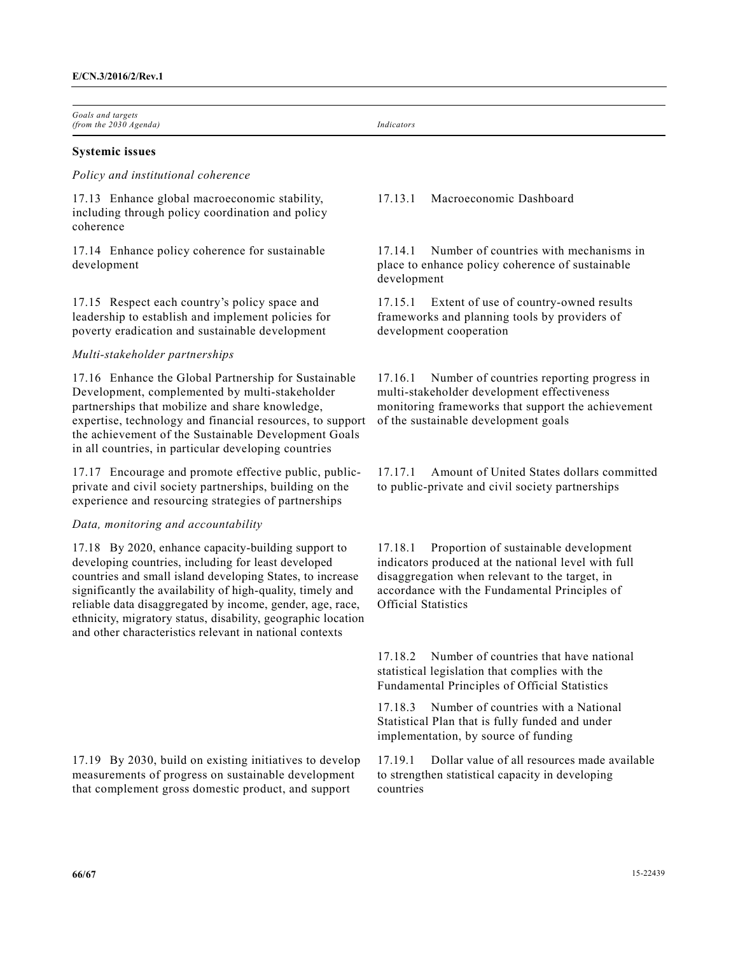*Goals and targets (from the 2030 Agenda) Indicators* 

#### **Systemic issues**

#### *Policy and institutional coherence*

17.13 Enhance global macroeconomic stability, including through policy coordination and policy coherence

17.14 Enhance policy coherence for sustainable development

17.15 Respect each country's policy space and leadership to establish and implement policies for poverty eradication and sustainable development

#### *Multi-stakeholder partnerships*

17.16 Enhance the Global Partnership for Sustainable Development, complemented by multi-stakeholder partnerships that mobilize and share knowledge, expertise, technology and financial resources, to support the achievement of the Sustainable Development Goals in all countries, in particular developing countries

17.17 Encourage and promote effective public, publicprivate and civil society partnerships, building on the experience and resourcing strategies of partnerships

#### *Data, monitoring and accountability*

17.18 By 2020, enhance capacity-building support to developing countries, including for least developed countries and small island developing States, to increase significantly the availability of high-quality, timely and reliable data disaggregated by income, gender, age, race, ethnicity, migratory status, disability, geographic location and other characteristics relevant in national contexts

17.19 By 2030, build on existing initiatives to develop measurements of progress on sustainable development that complement gross domestic product, and support

## 17.13.1 Macroeconomic Dashboard

17.14.1 Number of countries with mechanisms in place to enhance policy coherence of sustainable development

17.15.1 Extent of use of country-owned results frameworks and planning tools by providers of development cooperation

17.16.1 Number of countries reporting progress in multi-stakeholder development effectiveness monitoring frameworks that support the achievement of the sustainable development goals

17.17.1 Amount of United States dollars committed to public-private and civil society partnerships

17.18.1 Proportion of sustainable development indicators produced at the national level with full disaggregation when relevant to the target, in accordance with the Fundamental Principles of Official Statistics

17.18.2 Number of countries that have national statistical legislation that complies with the Fundamental Principles of Official Statistics

17.18.3 Number of countries with a National Statistical Plan that is fully funded and under implementation, by source of funding

17.19.1 Dollar value of all resources made available to strengthen statistical capacity in developing countries